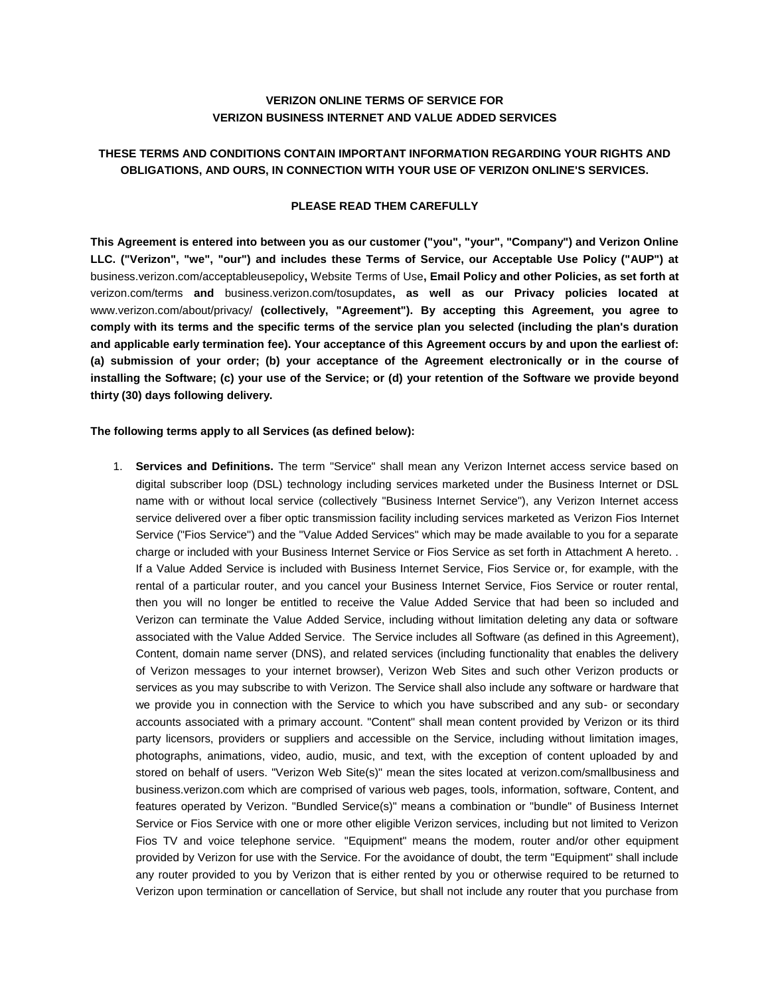## **VERIZON ONLINE TERMS OF SERVICE FOR VERIZON BUSINESS INTERNET AND VALUE ADDED SERVICES**

# **THESE TERMS AND CONDITIONS CONTAIN IMPORTANT INFORMATION REGARDING YOUR RIGHTS AND OBLIGATIONS, AND OURS, IN CONNECTION WITH YOUR USE OF VERIZON ONLINE'S SERVICES.**

## **PLEASE READ THEM CAREFULLY**

**This Agreement is entered into between you as our customer ("you", "your", "Company") and Verizon Online LLC. ("Verizon", "we", "our") and includes these Terms of Service, our Acceptable Use Policy ("AUP") at**  [business.verizon.com/acceptableusepolicy](http://business.verizon.com/acceptableusepolicy)**,** [Website Terms of Use](http://www.verizon.com/about/terms/)**, Email Policy and other Policies, as set forth at**  [verizon.com/terms](http://www.verizon.com/about/terms/) **and** [business.verizon.com/tosupdates](http://business.verizon.com/tosupdates)**, as well as our Privacy policies located at**  [www.verizon.com/about/privacy/](http://www.verizon.com/about/privacy/) **(collectively, "Agreement"). By accepting this Agreement, you agree to comply with its terms and the specific terms of the service plan you selected (including the plan's duration and applicable early termination fee). Your acceptance of this Agreement occurs by and upon the earliest of: (a) submission of your order; (b) your acceptance of the Agreement electronically or in the course of installing the Software; (c) your use of the Service; or (d) your retention of the Software we provide beyond thirty (30) days following delivery.**

#### **The following terms apply to all Services (as defined below):**

1. **Services and Definitions.** The term "Service" shall mean any Verizon Internet access service based on digital subscriber loop (DSL) technology including services marketed under the Business Internet or DSL name with or without local service (collectively "Business Internet Service"), any Verizon Internet access service delivered over a fiber optic transmission facility including services marketed as Verizon Fios Internet Service ("Fios Service") and the "Value Added Services" which may be made available to you for a separate charge or included with your Business Internet Service or Fios Service as set forth in Attachment A hereto. . If a Value Added Service is included with Business Internet Service, Fios Service or, for example, with the rental of a particular router, and you cancel your Business Internet Service, Fios Service or router rental, then you will no longer be entitled to receive the Value Added Service that had been so included and Verizon can terminate the Value Added Service, including without limitation deleting any data or software associated with the Value Added Service. The Service includes all Software (as defined in this Agreement), Content, domain name server (DNS), and related services (including functionality that enables the delivery of Verizon messages to your internet browser), Verizon Web Sites and such other Verizon products or services as you may subscribe to with Verizon. The Service shall also include any software or hardware that we provide you in connection with the Service to which you have subscribed and any sub- or secondary accounts associated with a primary account. "Content" shall mean content provided by Verizon or its third party licensors, providers or suppliers and accessible on the Service, including without limitation images, photographs, animations, video, audio, music, and text, with the exception of content uploaded by and stored on behalf of users. "Verizon Web Site(s)" mean the sites located at [verizon.com/smallbusiness](http://www.verizon.com/smallbusiness) and [business.verizon.com](http://business.verizon.com/) which are comprised of various web pages, tools, information, software, Content, and features operated by Verizon. "Bundled Service(s)" means a combination or "bundle" of Business Internet Service or Fios Service with one or more other eligible Verizon services, including but not limited to Verizon Fios TV and voice telephone service. "Equipment" means the modem, router and/or other equipment provided by Verizon for use with the Service. For the avoidance of doubt, the term "Equipment" shall include any router provided to you by Verizon that is either rented by you or otherwise required to be returned to Verizon upon termination or cancellation of Service, but shall not include any router that you purchase from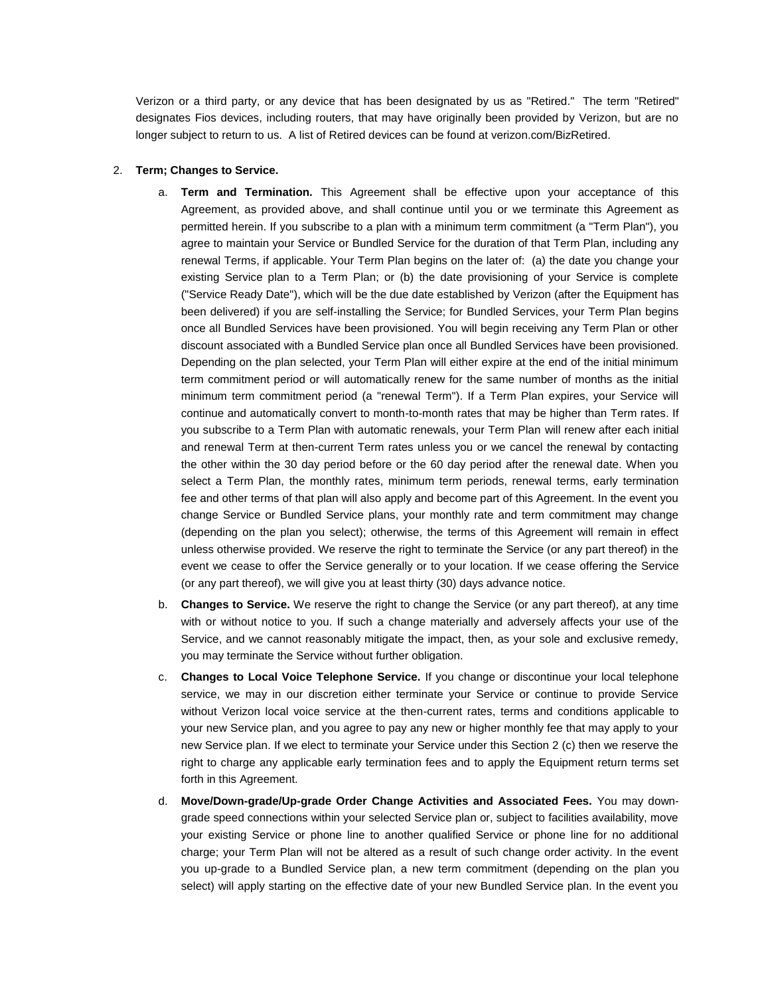Verizon or a third party, or any device that has been designated by us as "Retired." The term "Retired" designates Fios devices, including routers, that may have originally been provided by Verizon, but are no longer subject to return to us. A list of Retired devices can be found a[t verizon.com/BizRetired.](https://www.verizon.com/support/smallbusiness/tv/fiostv/general+support/account+issues/questionsone/retiredequipment.htm)

#### 2. **Term; Changes to Service.**

- a. **Term and Termination.** This Agreement shall be effective upon your acceptance of this Agreement, as provided above, and shall continue until you or we terminate this Agreement as permitted herein. If you subscribe to a plan with a minimum term commitment (a "Term Plan"), you agree to maintain your Service or Bundled Service for the duration of that Term Plan, including any renewal Terms, if applicable. Your Term Plan begins on the later of: (a) the date you change your existing Service plan to a Term Plan; or (b) the date provisioning of your Service is complete ("Service Ready Date"), which will be the due date established by Verizon (after the Equipment has been delivered) if you are self-installing the Service; for Bundled Services, your Term Plan begins once all Bundled Services have been provisioned. You will begin receiving any Term Plan or other discount associated with a Bundled Service plan once all Bundled Services have been provisioned. Depending on the plan selected, your Term Plan will either expire at the end of the initial minimum term commitment period or will automatically renew for the same number of months as the initial minimum term commitment period (a "renewal Term"). If a Term Plan expires, your Service will continue and automatically convert to month-to-month rates that may be higher than Term rates. If you subscribe to a Term Plan with automatic renewals, your Term Plan will renew after each initial and renewal Term at then-current Term rates unless you or we cancel the renewal by contacting the other within the 30 day period before or the 60 day period after the renewal date. When you select a Term Plan, the monthly rates, minimum term periods, renewal terms, early termination fee and other terms of that plan will also apply and become part of this Agreement. In the event you change Service or Bundled Service plans, your monthly rate and term commitment may change (depending on the plan you select); otherwise, the terms of this Agreement will remain in effect unless otherwise provided. We reserve the right to terminate the Service (or any part thereof) in the event we cease to offer the Service generally or to your location. If we cease offering the Service (or any part thereof), we will give you at least thirty (30) days advance notice.
- b. **Changes to Service.** We reserve the right to change the Service (or any part thereof), at any time with or without notice to you. If such a change materially and adversely affects your use of the Service, and we cannot reasonably mitigate the impact, then, as your sole and exclusive remedy, you may terminate the Service without further obligation.
- c. **Changes to Local Voice Telephone Service.** If you change or discontinue your local telephone service, we may in our discretion either terminate your Service or continue to provide Service without Verizon local voice service at the then-current rates, terms and conditions applicable to your new Service plan, and you agree to pay any new or higher monthly fee that may apply to your new Service plan. If we elect to terminate your Service under this Section 2 (c) then we reserve the right to charge any applicable early termination fees and to apply the Equipment return terms set forth in this Agreement.
- d. **Move/Down-grade/Up-grade Order Change Activities and Associated Fees.** You may downgrade speed connections within your selected Service plan or, subject to facilities availability, move your existing Service or phone line to another qualified Service or phone line for no additional charge; your Term Plan will not be altered as a result of such change order activity. In the event you up-grade to a Bundled Service plan, a new term commitment (depending on the plan you select) will apply starting on the effective date of your new Bundled Service plan. In the event you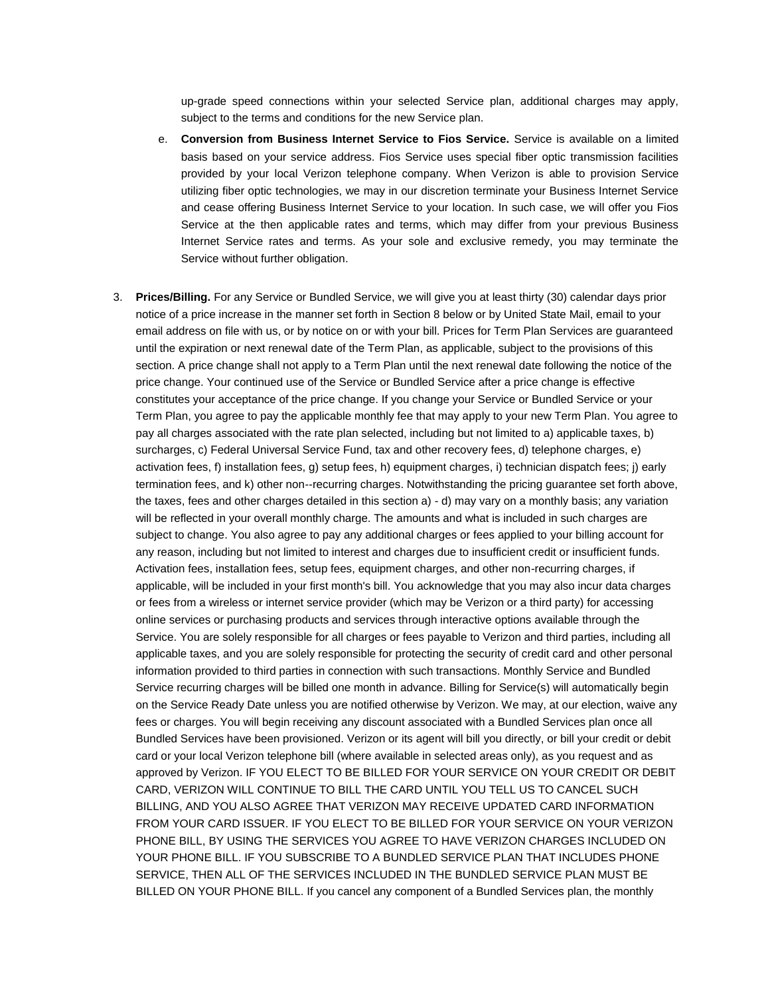up-grade speed connections within your selected Service plan, additional charges may apply, subject to the terms and conditions for the new Service plan.

- e. **Conversion from Business Internet Service to Fios Service.** Service is available on a limited basis based on your service address. Fios Service uses special fiber optic transmission facilities provided by your local Verizon telephone company. When Verizon is able to provision Service utilizing fiber optic technologies, we may in our discretion terminate your Business Internet Service and cease offering Business Internet Service to your location. In such case, we will offer you Fios Service at the then applicable rates and terms, which may differ from your previous Business Internet Service rates and terms. As your sole and exclusive remedy, you may terminate the Service without further obligation.
- 3. **Prices/Billing.** For any Service or Bundled Service, we will give you at least thirty (30) calendar days prior notice of a price increase in the manner set forth in Section 8 below or by United State Mail, email to your email address on file with us, or by notice on or with your bill. Prices for Term Plan Services are guaranteed until the expiration or next renewal date of the Term Plan, as applicable, subject to the provisions of this section. A price change shall not apply to a Term Plan until the next renewal date following the notice of the price change. Your continued use of the Service or Bundled Service after a price change is effective constitutes your acceptance of the price change. If you change your Service or Bundled Service or your Term Plan, you agree to pay the applicable monthly fee that may apply to your new Term Plan. You agree to pay all charges associated with the rate plan selected, including but not limited to a) applicable taxes, b) surcharges, c) Federal Universal Service Fund, tax and other recovery fees, d) telephone charges, e) activation fees, f) installation fees, g) setup fees, h) equipment charges, i) technician dispatch fees; j) early termination fees, and k) other non--recurring charges. Notwithstanding the pricing guarantee set forth above, the taxes, fees and other charges detailed in this section a) - d) may vary on a monthly basis; any variation will be reflected in your overall monthly charge. The amounts and what is included in such charges are subject to change. You also agree to pay any additional charges or fees applied to your billing account for any reason, including but not limited to interest and charges due to insufficient credit or insufficient funds. Activation fees, installation fees, setup fees, equipment charges, and other non-recurring charges, if applicable, will be included in your first month's bill. You acknowledge that you may also incur data charges or fees from a wireless or internet service provider (which may be Verizon or a third party) for accessing online services or purchasing products and services through interactive options available through the Service. You are solely responsible for all charges or fees payable to Verizon and third parties, including all applicable taxes, and you are solely responsible for protecting the security of credit card and other personal information provided to third parties in connection with such transactions. Monthly Service and Bundled Service recurring charges will be billed one month in advance. Billing for Service(s) will automatically begin on the Service Ready Date unless you are notified otherwise by Verizon. We may, at our election, waive any fees or charges. You will begin receiving any discount associated with a Bundled Services plan once all Bundled Services have been provisioned. Verizon or its agent will bill you directly, or bill your credit or debit card or your local Verizon telephone bill (where available in selected areas only), as you request and as approved by Verizon. IF YOU ELECT TO BE BILLED FOR YOUR SERVICE ON YOUR CREDIT OR DEBIT CARD, VERIZON WILL CONTINUE TO BILL THE CARD UNTIL YOU TELL US TO CANCEL SUCH BILLING, AND YOU ALSO AGREE THAT VERIZON MAY RECEIVE UPDATED CARD INFORMATION FROM YOUR CARD ISSUER. IF YOU ELECT TO BE BILLED FOR YOUR SERVICE ON YOUR VERIZON PHONE BILL, BY USING THE SERVICES YOU AGREE TO HAVE VERIZON CHARGES INCLUDED ON YOUR PHONE BILL. IF YOU SUBSCRIBE TO A BUNDLED SERVICE PLAN THAT INCLUDES PHONE SERVICE, THEN ALL OF THE SERVICES INCLUDED IN THE BUNDLED SERVICE PLAN MUST BE BILLED ON YOUR PHONE BILL. If you cancel any component of a Bundled Services plan, the monthly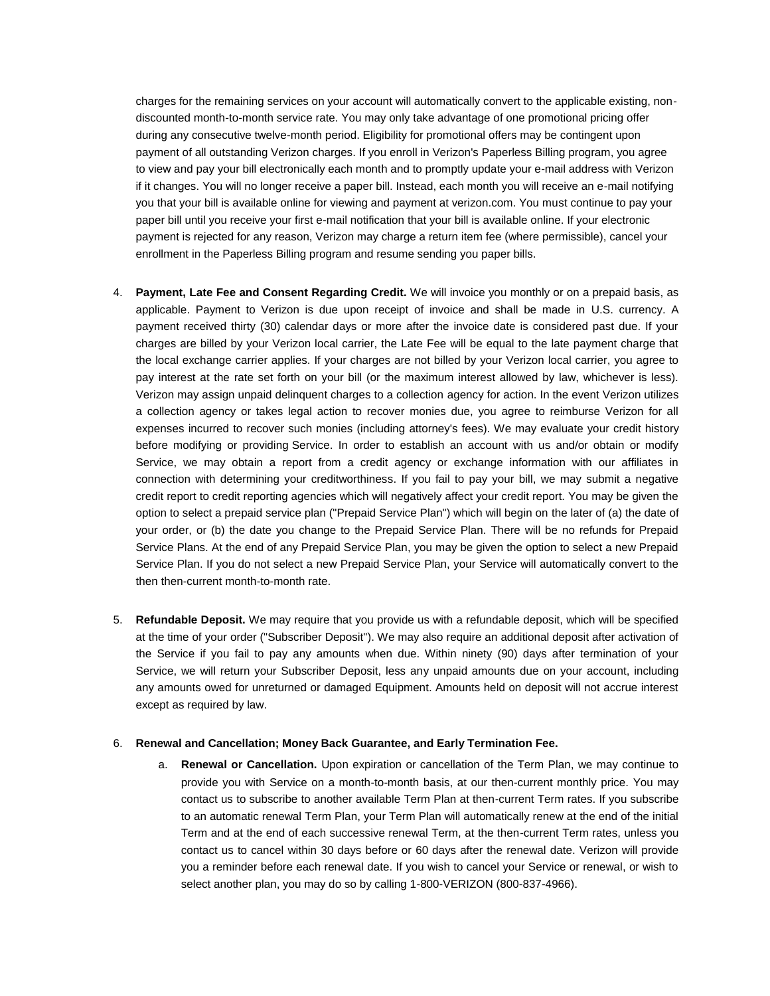charges for the remaining services on your account will automatically convert to the applicable existing, nondiscounted month-to-month service rate. You may only take advantage of one promotional pricing offer during any consecutive twelve-month period. Eligibility for promotional offers may be contingent upon payment of all outstanding Verizon charges. If you enroll in Verizon's Paperless Billing program, you agree to view and pay your bill electronically each month and to promptly update your e-mail address with Verizon if it changes. You will no longer receive a paper bill. Instead, each month you will receive an e-mail notifying you that your bill is available online for viewing and payment at verizon.com. You must continue to pay your paper bill until you receive your first e-mail notification that your bill is available online. If your electronic payment is rejected for any reason, Verizon may charge a return item fee (where permissible), cancel your enrollment in the Paperless Billing program and resume sending you paper bills.

- 4. **Payment, Late Fee and Consent Regarding Credit.** We will invoice you monthly or on a prepaid basis, as applicable. Payment to Verizon is due upon receipt of invoice and shall be made in U.S. currency. A payment received thirty (30) calendar days or more after the invoice date is considered past due. If your charges are billed by your Verizon local carrier, the Late Fee will be equal to the late payment charge that the local exchange carrier applies. If your charges are not billed by your Verizon local carrier, you agree to pay interest at the rate set forth on your bill (or the maximum interest allowed by law, whichever is less). Verizon may assign unpaid delinquent charges to a collection agency for action. In the event Verizon utilizes a collection agency or takes legal action to recover monies due, you agree to reimburse Verizon for all expenses incurred to recover such monies (including attorney's fees). We may evaluate your credit history before modifying or providing Service. In order to establish an account with us and/or obtain or modify Service, we may obtain a report from a credit agency or exchange information with our affiliates in connection with determining your creditworthiness. If you fail to pay your bill, we may submit a negative credit report to credit reporting agencies which will negatively affect your credit report. You may be given the option to select a prepaid service plan ("Prepaid Service Plan") which will begin on the later of (a) the date of your order, or (b) the date you change to the Prepaid Service Plan. There will be no refunds for Prepaid Service Plans. At the end of any Prepaid Service Plan, you may be given the option to select a new Prepaid Service Plan. If you do not select a new Prepaid Service Plan, your Service will automatically convert to the then then-current month-to-month rate.
- 5. **Refundable Deposit.** We may require that you provide us with a refundable deposit, which will be specified at the time of your order ("Subscriber Deposit"). We may also require an additional deposit after activation of the Service if you fail to pay any amounts when due. Within ninety (90) days after termination of your Service, we will return your Subscriber Deposit, less any unpaid amounts due on your account, including any amounts owed for unreturned or damaged Equipment. Amounts held on deposit will not accrue interest except as required by law.

#### 6. **Renewal and Cancellation; Money Back Guarantee, and Early Termination Fee.**

a. **Renewal or Cancellation.** Upon expiration or cancellation of the Term Plan, we may continue to provide you with Service on a month-to-month basis, at our then-current monthly price. You may contact us to subscribe to another available Term Plan at then-current Term rates. If you subscribe to an automatic renewal Term Plan, your Term Plan will automatically renew at the end of the initial Term and at the end of each successive renewal Term, at the then-current Term rates, unless you contact us to cancel within 30 days before or 60 days after the renewal date. Verizon will provide you a reminder before each renewal date. If you wish to cancel your Service or renewal, or wish to select another plan, you may do so by calling 1-800-VERIZON (800-837-4966).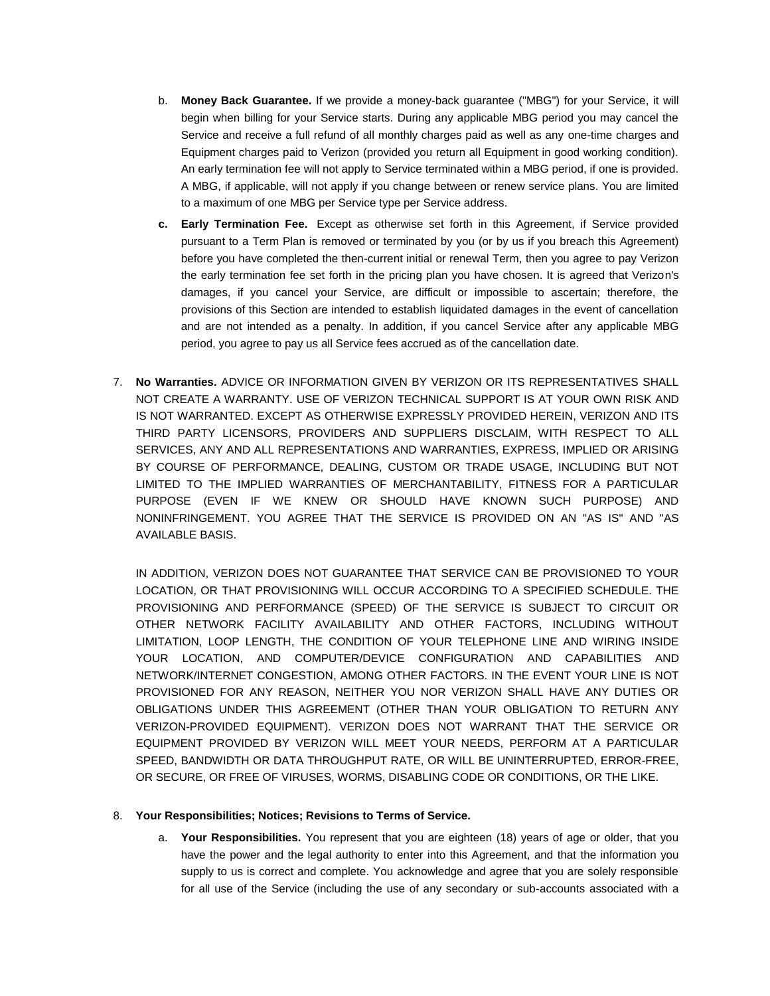- b. **Money Back Guarantee.** If we provide a money-back guarantee ("MBG") for your Service, it will begin when billing for your Service starts. During any applicable MBG period you may cancel the Service and receive a full refund of all monthly charges paid as well as any one-time charges and Equipment charges paid to Verizon (provided you return all Equipment in good working condition). An early termination fee will not apply to Service terminated within a MBG period, if one is provided. A MBG, if applicable, will not apply if you change between or renew service plans. You are limited to a maximum of one MBG per Service type per Service address.
- **c. Early Termination Fee.** Except as otherwise set forth in this Agreement, if Service provided pursuant to a Term Plan is removed or terminated by you (or by us if you breach this Agreement) before you have completed the then-current initial or renewal Term, then you agree to pay Verizon the early termination fee set forth in the pricing plan you have chosen. It is agreed that Verizon's damages, if you cancel your Service, are difficult or impossible to ascertain; therefore, the provisions of this Section are intended to establish liquidated damages in the event of cancellation and are not intended as a penalty. In addition, if you cancel Service after any applicable MBG period, you agree to pay us all Service fees accrued as of the cancellation date.
- 7. **No Warranties.** ADVICE OR INFORMATION GIVEN BY VERIZON OR ITS REPRESENTATIVES SHALL NOT CREATE A WARRANTY. USE OF VERIZON TECHNICAL SUPPORT IS AT YOUR OWN RISK AND IS NOT WARRANTED. EXCEPT AS OTHERWISE EXPRESSLY PROVIDED HEREIN, VERIZON AND ITS THIRD PARTY LICENSORS, PROVIDERS AND SUPPLIERS DISCLAIM, WITH RESPECT TO ALL SERVICES, ANY AND ALL REPRESENTATIONS AND WARRANTIES, EXPRESS, IMPLIED OR ARISING BY COURSE OF PERFORMANCE, DEALING, CUSTOM OR TRADE USAGE, INCLUDING BUT NOT LIMITED TO THE IMPLIED WARRANTIES OF MERCHANTABILITY, FITNESS FOR A PARTICULAR PURPOSE (EVEN IF WE KNEW OR SHOULD HAVE KNOWN SUCH PURPOSE) AND NONINFRINGEMENT. YOU AGREE THAT THE SERVICE IS PROVIDED ON AN "AS IS" AND "AS AVAILABLE BASIS.

IN ADDITION, VERIZON DOES NOT GUARANTEE THAT SERVICE CAN BE PROVISIONED TO YOUR LOCATION, OR THAT PROVISIONING WILL OCCUR ACCORDING TO A SPECIFIED SCHEDULE. THE PROVISIONING AND PERFORMANCE (SPEED) OF THE SERVICE IS SUBJECT TO CIRCUIT OR OTHER NETWORK FACILITY AVAILABILITY AND OTHER FACTORS, INCLUDING WITHOUT LIMITATION, LOOP LENGTH, THE CONDITION OF YOUR TELEPHONE LINE AND WIRING INSIDE YOUR LOCATION, AND COMPUTER/DEVICE CONFIGURATION AND CAPABILITIES AND NETWORK/INTERNET CONGESTION, AMONG OTHER FACTORS. IN THE EVENT YOUR LINE IS NOT PROVISIONED FOR ANY REASON, NEITHER YOU NOR VERIZON SHALL HAVE ANY DUTIES OR OBLIGATIONS UNDER THIS AGREEMENT (OTHER THAN YOUR OBLIGATION TO RETURN ANY VERIZON-PROVIDED EQUIPMENT). VERIZON DOES NOT WARRANT THAT THE SERVICE OR EQUIPMENT PROVIDED BY VERIZON WILL MEET YOUR NEEDS, PERFORM AT A PARTICULAR SPEED, BANDWIDTH OR DATA THROUGHPUT RATE, OR WILL BE UNINTERRUPTED, ERROR-FREE, OR SECURE, OR FREE OF VIRUSES, WORMS, DISABLING CODE OR CONDITIONS, OR THE LIKE.

## 8. **Your Responsibilities; Notices; Revisions to Terms of Service.**

a. **Your Responsibilities.** You represent that you are eighteen (18) years of age or older, that you have the power and the legal authority to enter into this Agreement, and that the information you supply to us is correct and complete. You acknowledge and agree that you are solely responsible for all use of the Service (including the use of any secondary or sub-accounts associated with a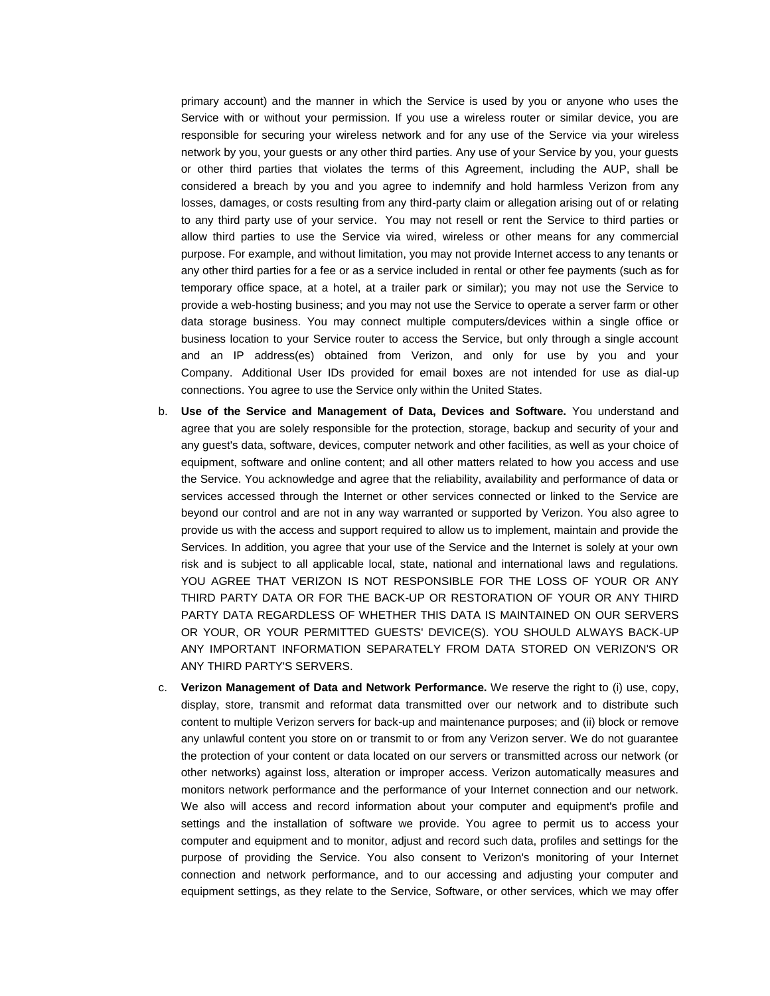primary account) and the manner in which the Service is used by you or anyone who uses the Service with or without your permission. If you use a wireless router or similar device, you are responsible for securing your wireless network and for any use of the Service via your wireless network by you, your guests or any other third parties. Any use of your Service by you, your guests or other third parties that violates the terms of this Agreement, including the AUP, shall be considered a breach by you and you agree to indemnify and hold harmless Verizon from any losses, damages, or costs resulting from any third-party claim or allegation arising out of or relating to any third party use of your service. You may not resell or rent the Service to third parties or allow third parties to use the Service via wired, wireless or other means for any commercial purpose. For example, and without limitation, you may not provide Internet access to any tenants or any other third parties for a fee or as a service included in rental or other fee payments (such as for temporary office space, at a hotel, at a trailer park or similar); you may not use the Service to provide a web-hosting business; and you may not use the Service to operate a server farm or other data storage business. You may connect multiple computers/devices within a single office or business location to your Service router to access the Service, but only through a single account and an IP address(es) obtained from Verizon, and only for use by you and your Company. Additional User IDs provided for email boxes are not intended for use as dial-up connections. You agree to use the Service only within the United States.

- b. **Use of the Service and Management of Data, Devices and Software.** You understand and agree that you are solely responsible for the protection, storage, backup and security of your and any guest's data, software, devices, computer network and other facilities, as well as your choice of equipment, software and online content; and all other matters related to how you access and use the Service. You acknowledge and agree that the reliability, availability and performance of data or services accessed through the Internet or other services connected or linked to the Service are beyond our control and are not in any way warranted or supported by Verizon. You also agree to provide us with the access and support required to allow us to implement, maintain and provide the Services. In addition, you agree that your use of the Service and the Internet is solely at your own risk and is subject to all applicable local, state, national and international laws and regulations. YOU AGREE THAT VERIZON IS NOT RESPONSIBLE FOR THE LOSS OF YOUR OR ANY THIRD PARTY DATA OR FOR THE BACK-UP OR RESTORATION OF YOUR OR ANY THIRD PARTY DATA REGARDLESS OF WHETHER THIS DATA IS MAINTAINED ON OUR SERVERS OR YOUR, OR YOUR PERMITTED GUESTS' DEVICE(S). YOU SHOULD ALWAYS BACK-UP ANY IMPORTANT INFORMATION SEPARATELY FROM DATA STORED ON VERIZON'S OR ANY THIRD PARTY'S SERVERS.
- c. **Verizon Management of Data and Network Performance.** We reserve the right to (i) use, copy, display, store, transmit and reformat data transmitted over our network and to distribute such content to multiple Verizon servers for back-up and maintenance purposes; and (ii) block or remove any unlawful content you store on or transmit to or from any Verizon server. We do not guarantee the protection of your content or data located on our servers or transmitted across our network (or other networks) against loss, alteration or improper access. Verizon automatically measures and monitors network performance and the performance of your Internet connection and our network. We also will access and record information about your computer and equipment's profile and settings and the installation of software we provide. You agree to permit us to access your computer and equipment and to monitor, adjust and record such data, profiles and settings for the purpose of providing the Service. You also consent to Verizon's monitoring of your Internet connection and network performance, and to our accessing and adjusting your computer and equipment settings, as they relate to the Service, Software, or other services, which we may offer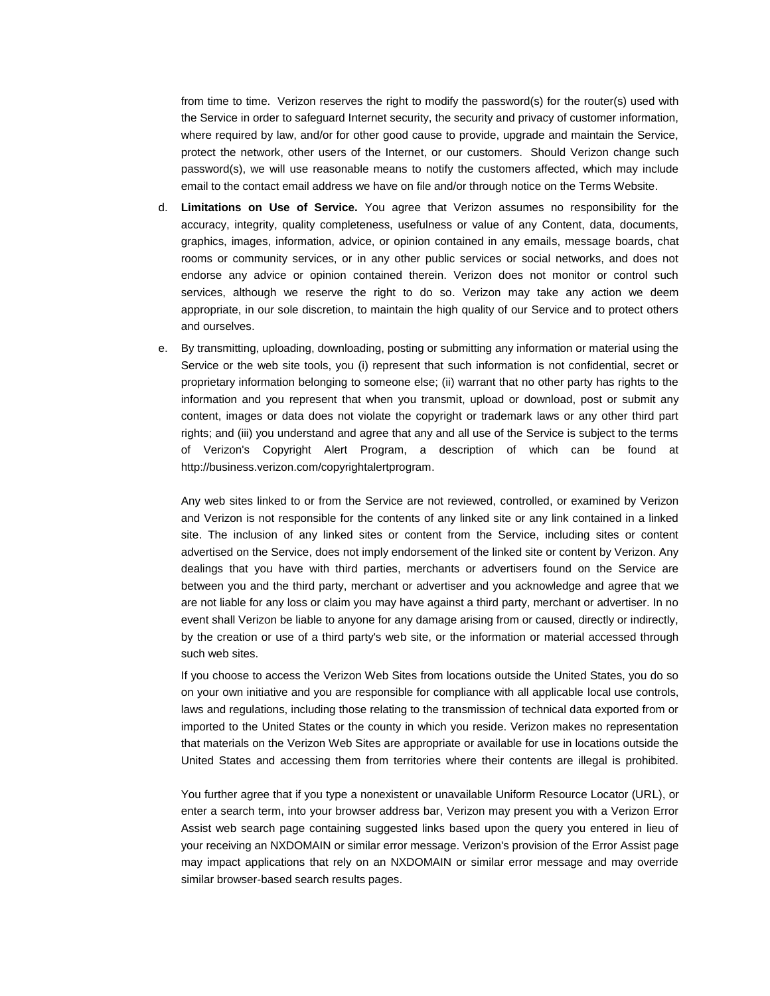from time to time. Verizon reserves the right to modify the password(s) for the router(s) used with the Service in order to safeguard Internet security, the security and privacy of customer information, where required by law, and/or for other good cause to provide, upgrade and maintain the Service, protect the network, other users of the Internet, or our customers. Should Verizon change such password(s), we will use reasonable means to notify the customers affected, which may include email to the contact email address we have on file and/or through notice on the Terms Website.

- d. **Limitations on Use of Service.** You agree that Verizon assumes no responsibility for the accuracy, integrity, quality completeness, usefulness or value of any Content, data, documents, graphics, images, information, advice, or opinion contained in any emails, message boards, chat rooms or community services, or in any other public services or social networks, and does not endorse any advice or opinion contained therein. Verizon does not monitor or control such services, although we reserve the right to do so. Verizon may take any action we deem appropriate, in our sole discretion, to maintain the high quality of our Service and to protect others and ourselves.
- e. By transmitting, uploading, downloading, posting or submitting any information or material using the Service or the web site tools, you (i) represent that such information is not confidential, secret or proprietary information belonging to someone else; (ii) warrant that no other party has rights to the information and you represent that when you transmit, upload or download, post or submit any content, images or data does not violate the copyright or trademark laws or any other third part rights; and (iii) you understand and agree that any and all use of the Service is subject to the terms of Verizon's Copyright Alert Program, a description of which can be found at [http://business.verizon.com/copyrightalertprogram.](http://business.verizon.com/copyrightalertprogram)

Any web sites linked to or from the Service are not reviewed, controlled, or examined by Verizon and Verizon is not responsible for the contents of any linked site or any link contained in a linked site. The inclusion of any linked sites or content from the Service, including sites or content advertised on the Service, does not imply endorsement of the linked site or content by Verizon. Any dealings that you have with third parties, merchants or advertisers found on the Service are between you and the third party, merchant or advertiser and you acknowledge and agree that we are not liable for any loss or claim you may have against a third party, merchant or advertiser. In no event shall Verizon be liable to anyone for any damage arising from or caused, directly or indirectly, by the creation or use of a third party's web site, or the information or material accessed through such web sites.

If you choose to access the Verizon Web Sites from locations outside the United States, you do so on your own initiative and you are responsible for compliance with all applicable local use controls, laws and regulations, including those relating to the transmission of technical data exported from or imported to the United States or the county in which you reside. Verizon makes no representation that materials on the Verizon Web Sites are appropriate or available for use in locations outside the United States and accessing them from territories where their contents are illegal is prohibited.

You further agree that if you type a nonexistent or unavailable Uniform Resource Locator (URL), or enter a search term, into your browser address bar, Verizon may present you with a Verizon Error Assist web search page containing suggested links based upon the query you entered in lieu of your receiving an NXDOMAIN or similar error message. Verizon's provision of the Error Assist page may impact applications that rely on an NXDOMAIN or similar error message and may override similar browser-based search results pages.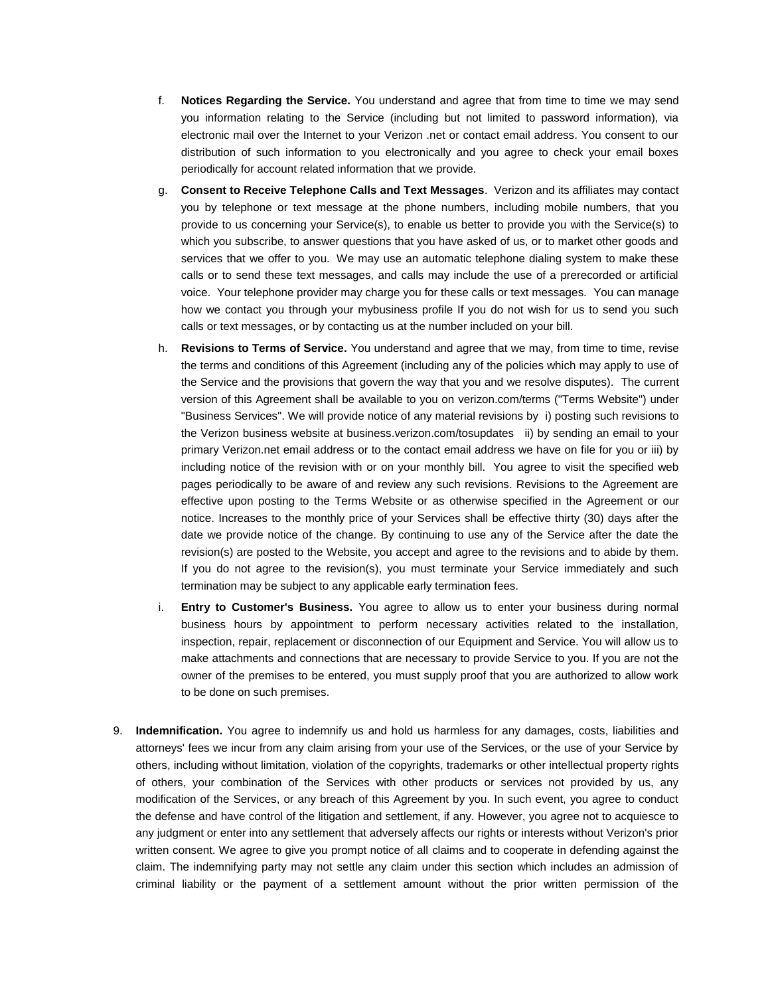- f. **Notices Regarding the Service.** You understand and agree that from time to time we may send you information relating to the Service (including but not limited to password information), via electronic mail over the Internet to your Verizon .net or contact email address. You consent to our distribution of such information to you electronically and you agree to check your email boxes periodically for account related information that we provide.
- g. **Consent to Receive Telephone Calls and Text Messages**. Verizon and its affiliates may contact you by telephone or text message at the phone numbers, including mobile numbers, that you provide to us concerning your Service(s), to enable us better to provide you with the Service(s) to which you subscribe, to answer questions that you have asked of us, or to market other goods and services that we offer to you. We may use an automatic telephone dialing system to make these calls or to send these text messages, and calls may include the use of a prerecorded or artificial voice. Your telephone provider may charge you for these calls or text messages. You can manage how we contact you through your mybusiness profile If you do not wish for us to send you such calls or text messages, or by contacting us at the number included on your bill.
- h. **Revisions to Terms of Service.** You understand and agree that we may, from time to time, revise the terms and conditions of this Agreement (including any of the policies which may apply to use of the Service and the provisions that govern the way that you and we resolve disputes). The current version of this Agreement shall be available to you on [verizon.com/terms](http://www.verizon.com/about/terms/) ("Terms Website") under "Business Services". We will provide notice of any material revisions by i) posting such revisions to the Verizon business website at [business.verizon.com/tosupdates](http://business.verizon.com/tosupdates) ii) by sending an email to your primary Verizon.net email address or to the contact email address we have on file for you or iii) by including notice of the revision with or on your monthly bill. You agree to visit the specified web pages periodically to be aware of and review any such revisions. Revisions to the Agreement are effective upon posting to the Terms Website or as otherwise specified in the Agreement or our notice. Increases to the monthly price of your Services shall be effective thirty (30) days after the date we provide notice of the change. By continuing to use any of the Service after the date the revision(s) are posted to the Website, you accept and agree to the revisions and to abide by them. If you do not agree to the revision(s), you must terminate your Service immediately and such termination may be subject to any applicable early termination fees.
- i. **Entry to Customer's Business.** You agree to allow us to enter your business during normal business hours by appointment to perform necessary activities related to the installation, inspection, repair, replacement or disconnection of our Equipment and Service. You will allow us to make attachments and connections that are necessary to provide Service to you. If you are not the owner of the premises to be entered, you must supply proof that you are authorized to allow work to be done on such premises.
- 9. **Indemnification.** You agree to indemnify us and hold us harmless for any damages, costs, liabilities and attorneys' fees we incur from any claim arising from your use of the Services, or the use of your Service by others, including without limitation, violation of the copyrights, trademarks or other intellectual property rights of others, your combination of the Services with other products or services not provided by us, any modification of the Services, or any breach of this Agreement by you. In such event, you agree to conduct the defense and have control of the litigation and settlement, if any. However, you agree not to acquiesce to any judgment or enter into any settlement that adversely affects our rights or interests without Verizon's prior written consent. We agree to give you prompt notice of all claims and to cooperate in defending against the claim. The indemnifying party may not settle any claim under this section which includes an admission of criminal liability or the payment of a settlement amount without the prior written permission of the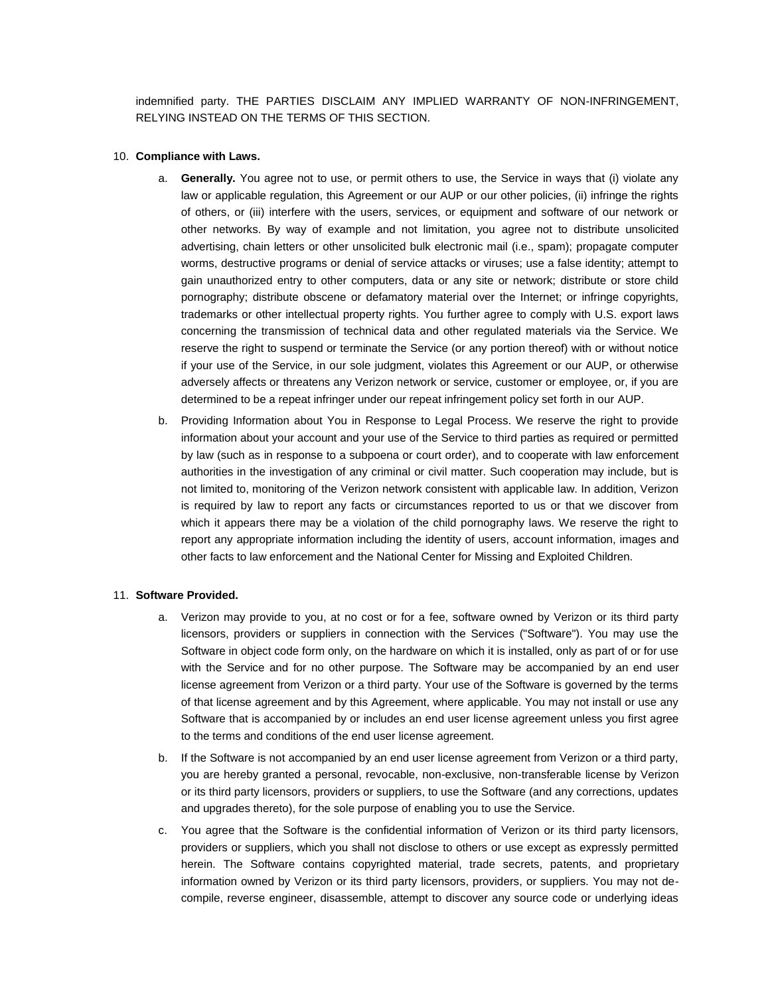indemnified party. THE PARTIES DISCLAIM ANY IMPLIED WARRANTY OF NON-INFRINGEMENT, RELYING INSTEAD ON THE TERMS OF THIS SECTION.

#### 10. **Compliance with Laws.**

- a. **Generally.** You agree not to use, or permit others to use, the Service in ways that (i) violate any law or applicable regulation, this Agreement or our AUP or our other policies, (ii) infringe the rights of others, or (iii) interfere with the users, services, or equipment and software of our network or other networks. By way of example and not limitation, you agree not to distribute unsolicited advertising, chain letters or other unsolicited bulk electronic mail (i.e., spam); propagate computer worms, destructive programs or denial of service attacks or viruses; use a false identity; attempt to gain unauthorized entry to other computers, data or any site or network; distribute or store child pornography; distribute obscene or defamatory material over the Internet; or infringe copyrights, trademarks or other intellectual property rights. You further agree to comply with U.S. export laws concerning the transmission of technical data and other regulated materials via the Service. We reserve the right to suspend or terminate the Service (or any portion thereof) with or without notice if your use of the Service, in our sole judgment, violates this Agreement or our AUP, or otherwise adversely affects or threatens any Verizon network or service, customer or employee, or, if you are determined to be a repeat infringer under our repeat infringement policy set forth in our AUP.
- b. Providing Information about You in Response to Legal Process. We reserve the right to provide information about your account and your use of the Service to third parties as required or permitted by law (such as in response to a subpoena or court order), and to cooperate with law enforcement authorities in the investigation of any criminal or civil matter. Such cooperation may include, but is not limited to, monitoring of the Verizon network consistent with applicable law. In addition, Verizon is required by law to report any facts or circumstances reported to us or that we discover from which it appears there may be a violation of the child pornography laws. We reserve the right to report any appropriate information including the identity of users, account information, images and other facts to law enforcement and the National Center for Missing and Exploited Children.

#### 11. **Software Provided.**

- a. Verizon may provide to you, at no cost or for a fee, software owned by Verizon or its third party licensors, providers or suppliers in connection with the Services ("Software"). You may use the Software in object code form only, on the hardware on which it is installed, only as part of or for use with the Service and for no other purpose. The Software may be accompanied by an end user license agreement from Verizon or a third party. Your use of the Software is governed by the terms of that license agreement and by this Agreement, where applicable. You may not install or use any Software that is accompanied by or includes an end user license agreement unless you first agree to the terms and conditions of the end user license agreement.
- b. If the Software is not accompanied by an end user license agreement from Verizon or a third party, you are hereby granted a personal, revocable, non-exclusive, non-transferable license by Verizon or its third party licensors, providers or suppliers, to use the Software (and any corrections, updates and upgrades thereto), for the sole purpose of enabling you to use the Service.
- c. You agree that the Software is the confidential information of Verizon or its third party licensors, providers or suppliers, which you shall not disclose to others or use except as expressly permitted herein. The Software contains copyrighted material, trade secrets, patents, and proprietary information owned by Verizon or its third party licensors, providers, or suppliers. You may not decompile, reverse engineer, disassemble, attempt to discover any source code or underlying ideas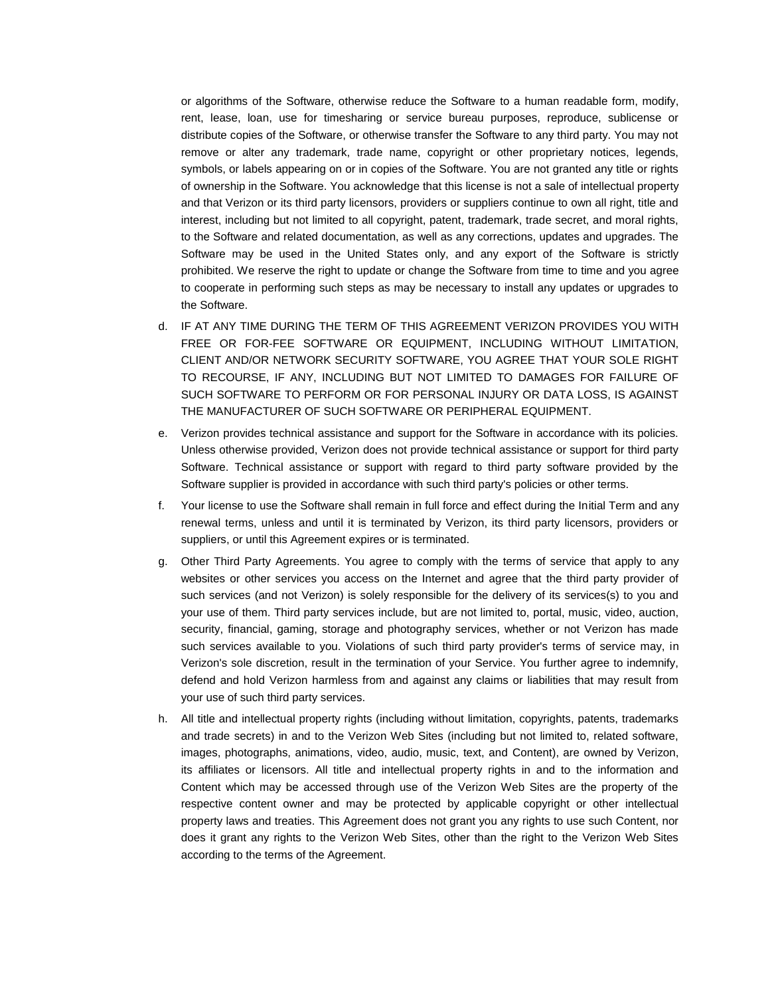or algorithms of the Software, otherwise reduce the Software to a human readable form, modify, rent, lease, loan, use for timesharing or service bureau purposes, reproduce, sublicense or distribute copies of the Software, or otherwise transfer the Software to any third party. You may not remove or alter any trademark, trade name, copyright or other proprietary notices, legends, symbols, or labels appearing on or in copies of the Software. You are not granted any title or rights of ownership in the Software. You acknowledge that this license is not a sale of intellectual property and that Verizon or its third party licensors, providers or suppliers continue to own all right, title and interest, including but not limited to all copyright, patent, trademark, trade secret, and moral rights, to the Software and related documentation, as well as any corrections, updates and upgrades. The Software may be used in the United States only, and any export of the Software is strictly prohibited. We reserve the right to update or change the Software from time to time and you agree to cooperate in performing such steps as may be necessary to install any updates or upgrades to the Software.

- d. IF AT ANY TIME DURING THE TERM OF THIS AGREEMENT VERIZON PROVIDES YOU WITH FREE OR FOR-FEE SOFTWARE OR EQUIPMENT, INCLUDING WITHOUT LIMITATION, CLIENT AND/OR NETWORK SECURITY SOFTWARE, YOU AGREE THAT YOUR SOLE RIGHT TO RECOURSE, IF ANY, INCLUDING BUT NOT LIMITED TO DAMAGES FOR FAILURE OF SUCH SOFTWARE TO PERFORM OR FOR PERSONAL INJURY OR DATA LOSS, IS AGAINST THE MANUFACTURER OF SUCH SOFTWARE OR PERIPHERAL EQUIPMENT.
- e. Verizon provides technical assistance and support for the Software in accordance with its policies. Unless otherwise provided, Verizon does not provide technical assistance or support for third party Software. Technical assistance or support with regard to third party software provided by the Software supplier is provided in accordance with such third party's policies or other terms.
- f. Your license to use the Software shall remain in full force and effect during the Initial Term and any renewal terms, unless and until it is terminated by Verizon, its third party licensors, providers or suppliers, or until this Agreement expires or is terminated.
- g. Other Third Party Agreements. You agree to comply with the terms of service that apply to any websites or other services you access on the Internet and agree that the third party provider of such services (and not Verizon) is solely responsible for the delivery of its services(s) to you and your use of them. Third party services include, but are not limited to, portal, music, video, auction, security, financial, gaming, storage and photography services, whether or not Verizon has made such services available to you. Violations of such third party provider's terms of service may, in Verizon's sole discretion, result in the termination of your Service. You further agree to indemnify, defend and hold Verizon harmless from and against any claims or liabilities that may result from your use of such third party services.
- h. All title and intellectual property rights (including without limitation, copyrights, patents, trademarks and trade secrets) in and to the Verizon Web Sites (including but not limited to, related software, images, photographs, animations, video, audio, music, text, and Content), are owned by Verizon, its affiliates or licensors. All title and intellectual property rights in and to the information and Content which may be accessed through use of the Verizon Web Sites are the property of the respective content owner and may be protected by applicable copyright or other intellectual property laws and treaties. This Agreement does not grant you any rights to use such Content, nor does it grant any rights to the Verizon Web Sites, other than the right to the Verizon Web Sites according to the terms of the Agreement.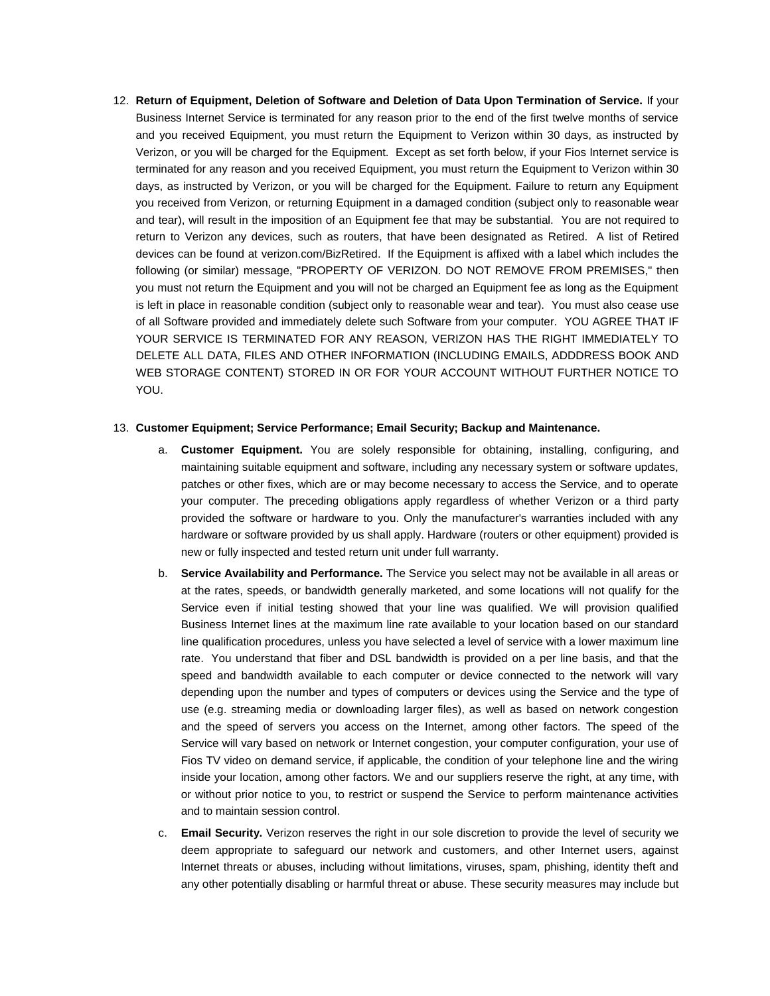12. **Return of Equipment, Deletion of Software and Deletion of Data Upon Termination of Service.** If your Business Internet Service is terminated for any reason prior to the end of the first twelve months of service and you received Equipment, you must return the Equipment to Verizon within 30 days, as instructed by Verizon, or you will be charged for the Equipment. Except as set forth below, if your Fios Internet service is terminated for any reason and you received Equipment, you must return the Equipment to Verizon within 30 days, as instructed by Verizon, or you will be charged for the Equipment. Failure to return any Equipment you received from Verizon, or returning Equipment in a damaged condition (subject only to reasonable wear and tear), will result in the imposition of an Equipment fee that may be substantial. You are not required to return to Verizon any devices, such as routers, that have been designated as Retired. A list of Retired devices can be found at [verizon.com/BizRetired.](https://www.verizon.com/support/smallbusiness/tv/fiostv/general+support/account+issues/questionsone/retiredequipment.htm) If the Equipment is affixed with a label which includes the following (or similar) message, "PROPERTY OF VERIZON. DO NOT REMOVE FROM PREMISES," then you must not return the Equipment and you will not be charged an Equipment fee as long as the Equipment is left in place in reasonable condition (subject only to reasonable wear and tear). You must also cease use of all Software provided and immediately delete such Software from your computer. YOU AGREE THAT IF YOUR SERVICE IS TERMINATED FOR ANY REASON, VERIZON HAS THE RIGHT IMMEDIATELY TO DELETE ALL DATA, FILES AND OTHER INFORMATION (INCLUDING EMAILS, ADDDRESS BOOK AND WEB STORAGE CONTENT) STORED IN OR FOR YOUR ACCOUNT WITHOUT FURTHER NOTICE TO YOU.

#### 13. **Customer Equipment; Service Performance; Email Security; Backup and Maintenance.**

- a. **Customer Equipment.** You are solely responsible for obtaining, installing, configuring, and maintaining suitable equipment and software, including any necessary system or software updates, patches or other fixes, which are or may become necessary to access the Service, and to operate your computer. The preceding obligations apply regardless of whether Verizon or a third party provided the software or hardware to you. Only the manufacturer's warranties included with any hardware or software provided by us shall apply. Hardware (routers or other equipment) provided is new or fully inspected and tested return unit under full warranty.
- b. **Service Availability and Performance.** The Service you select may not be available in all areas or at the rates, speeds, or bandwidth generally marketed, and some locations will not qualify for the Service even if initial testing showed that your line was qualified. We will provision qualified Business Internet lines at the maximum line rate available to your location based on our standard line qualification procedures, unless you have selected a level of service with a lower maximum line rate. You understand that fiber and DSL bandwidth is provided on a per line basis, and that the speed and bandwidth available to each computer or device connected to the network will vary depending upon the number and types of computers or devices using the Service and the type of use (e.g. streaming media or downloading larger files), as well as based on network congestion and the speed of servers you access on the Internet, among other factors. The speed of the Service will vary based on network or Internet congestion, your computer configuration, your use of Fios TV video on demand service, if applicable, the condition of your telephone line and the wiring inside your location, among other factors. We and our suppliers reserve the right, at any time, with or without prior notice to you, to restrict or suspend the Service to perform maintenance activities and to maintain session control.
- c. **Email Security.** Verizon reserves the right in our sole discretion to provide the level of security we deem appropriate to safeguard our network and customers, and other Internet users, against Internet threats or abuses, including without limitations, viruses, spam, phishing, identity theft and any other potentially disabling or harmful threat or abuse. These security measures may include but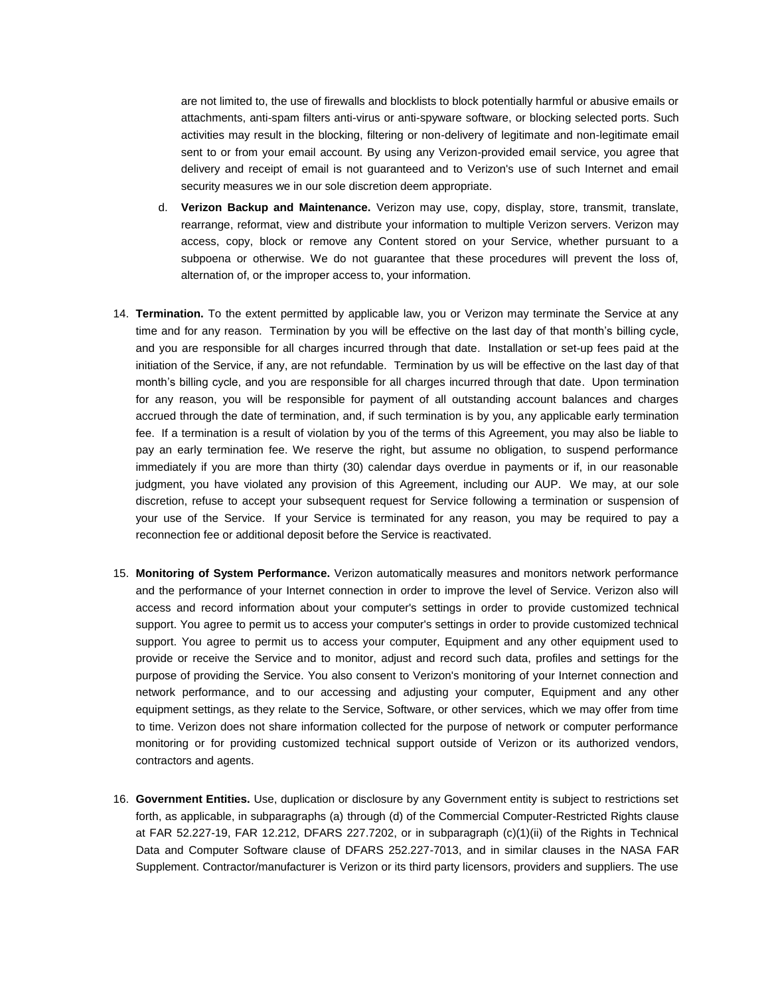are not limited to, the use of firewalls and blocklists to block potentially harmful or abusive emails or attachments, anti-spam filters anti-virus or anti-spyware software, or blocking selected ports. Such activities may result in the blocking, filtering or non-delivery of legitimate and non-legitimate email sent to or from your email account. By using any Verizon-provided email service, you agree that delivery and receipt of email is not guaranteed and to Verizon's use of such Internet and email security measures we in our sole discretion deem appropriate.

- d. **Verizon Backup and Maintenance.** Verizon may use, copy, display, store, transmit, translate, rearrange, reformat, view and distribute your information to multiple Verizon servers. Verizon may access, copy, block or remove any Content stored on your Service, whether pursuant to a subpoena or otherwise. We do not guarantee that these procedures will prevent the loss of, alternation of, or the improper access to, your information.
- 14. **Termination.** To the extent permitted by applicable law, you or Verizon may terminate the Service at any time and for any reason. Termination by you will be effective on the last day of that month's billing cycle, and you are responsible for all charges incurred through that date. Installation or set-up fees paid at the initiation of the Service, if any, are not refundable. Termination by us will be effective on the last day of that month's billing cycle, and you are responsible for all charges incurred through that date. Upon termination for any reason, you will be responsible for payment of all outstanding account balances and charges accrued through the date of termination, and, if such termination is by you, any applicable early termination fee. If a termination is a result of violation by you of the terms of this Agreement, you may also be liable to pay an early termination fee. We reserve the right, but assume no obligation, to suspend performance immediately if you are more than thirty (30) calendar days overdue in payments or if, in our reasonable judgment, you have violated any provision of this Agreement, including our AUP. We may, at our sole discretion, refuse to accept your subsequent request for Service following a termination or suspension of your use of the Service. If your Service is terminated for any reason, you may be required to pay a reconnection fee or additional deposit before the Service is reactivated.
- 15. **Monitoring of System Performance.** Verizon automatically measures and monitors network performance and the performance of your Internet connection in order to improve the level of Service. Verizon also will access and record information about your computer's settings in order to provide customized technical support. You agree to permit us to access your computer's settings in order to provide customized technical support. You agree to permit us to access your computer, Equipment and any other equipment used to provide or receive the Service and to monitor, adjust and record such data, profiles and settings for the purpose of providing the Service. You also consent to Verizon's monitoring of your Internet connection and network performance, and to our accessing and adjusting your computer, Equipment and any other equipment settings, as they relate to the Service, Software, or other services, which we may offer from time to time. Verizon does not share information collected for the purpose of network or computer performance monitoring or for providing customized technical support outside of Verizon or its authorized vendors, contractors and agents.
- 16. **Government Entities.** Use, duplication or disclosure by any Government entity is subject to restrictions set forth, as applicable, in subparagraphs (a) through (d) of the Commercial Computer-Restricted Rights clause at FAR 52.227-19, FAR 12.212, DFARS 227.7202, or in subparagraph (c)(1)(ii) of the Rights in Technical Data and Computer Software clause of DFARS 252.227-7013, and in similar clauses in the NASA FAR Supplement. Contractor/manufacturer is Verizon or its third party licensors, providers and suppliers. The use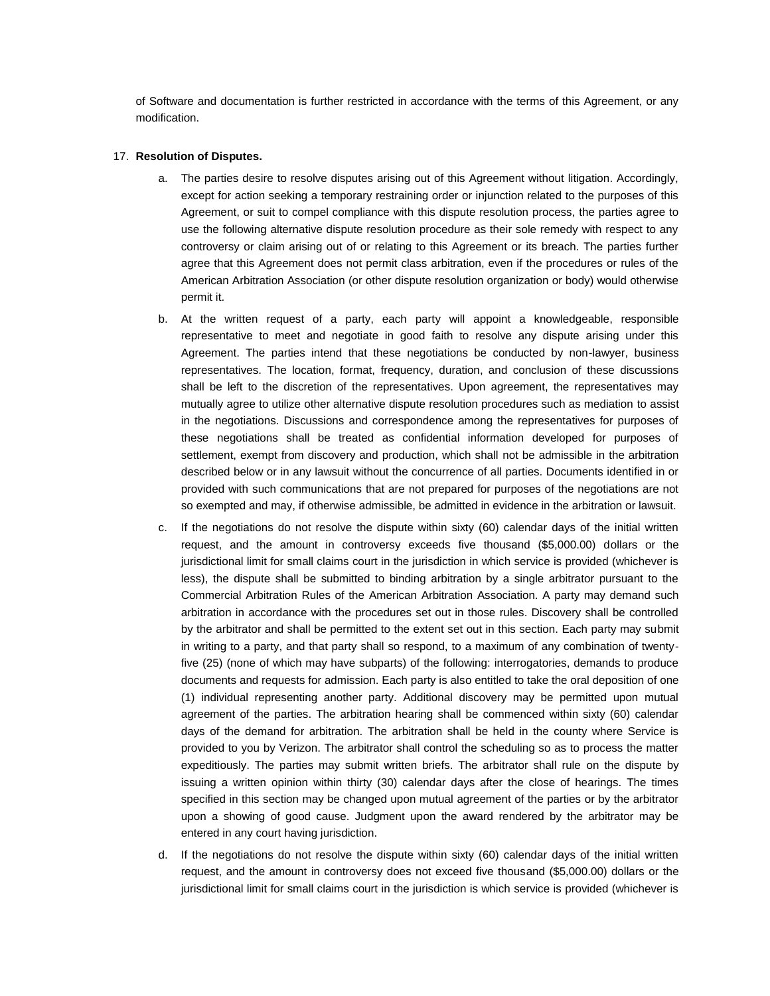of Software and documentation is further restricted in accordance with the terms of this Agreement, or any modification.

## 17. **Resolution of Disputes.**

- a. The parties desire to resolve disputes arising out of this Agreement without litigation. Accordingly, except for action seeking a temporary restraining order or injunction related to the purposes of this Agreement, or suit to compel compliance with this dispute resolution process, the parties agree to use the following alternative dispute resolution procedure as their sole remedy with respect to any controversy or claim arising out of or relating to this Agreement or its breach. The parties further agree that this Agreement does not permit class arbitration, even if the procedures or rules of the American Arbitration Association (or other dispute resolution organization or body) would otherwise permit it.
- b. At the written request of a party, each party will appoint a knowledgeable, responsible representative to meet and negotiate in good faith to resolve any dispute arising under this Agreement. The parties intend that these negotiations be conducted by non-lawyer, business representatives. The location, format, frequency, duration, and conclusion of these discussions shall be left to the discretion of the representatives. Upon agreement, the representatives may mutually agree to utilize other alternative dispute resolution procedures such as mediation to assist in the negotiations. Discussions and correspondence among the representatives for purposes of these negotiations shall be treated as confidential information developed for purposes of settlement, exempt from discovery and production, which shall not be admissible in the arbitration described below or in any lawsuit without the concurrence of all parties. Documents identified in or provided with such communications that are not prepared for purposes of the negotiations are not so exempted and may, if otherwise admissible, be admitted in evidence in the arbitration or lawsuit.
- c. If the negotiations do not resolve the dispute within sixty (60) calendar days of the initial written request, and the amount in controversy exceeds five thousand (\$5,000.00) dollars or the jurisdictional limit for small claims court in the jurisdiction in which service is provided (whichever is less), the dispute shall be submitted to binding arbitration by a single arbitrator pursuant to the Commercial Arbitration Rules of the American Arbitration Association. A party may demand such arbitration in accordance with the procedures set out in those rules. Discovery shall be controlled by the arbitrator and shall be permitted to the extent set out in this section. Each party may submit in writing to a party, and that party shall so respond, to a maximum of any combination of twentyfive (25) (none of which may have subparts) of the following: interrogatories, demands to produce documents and requests for admission. Each party is also entitled to take the oral deposition of one (1) individual representing another party. Additional discovery may be permitted upon mutual agreement of the parties. The arbitration hearing shall be commenced within sixty (60) calendar days of the demand for arbitration. The arbitration shall be held in the county where Service is provided to you by Verizon. The arbitrator shall control the scheduling so as to process the matter expeditiously. The parties may submit written briefs. The arbitrator shall rule on the dispute by issuing a written opinion within thirty (30) calendar days after the close of hearings. The times specified in this section may be changed upon mutual agreement of the parties or by the arbitrator upon a showing of good cause. Judgment upon the award rendered by the arbitrator may be entered in any court having jurisdiction.
- d. If the negotiations do not resolve the dispute within sixty (60) calendar days of the initial written request, and the amount in controversy does not exceed five thousand (\$5,000.00) dollars or the jurisdictional limit for small claims court in the jurisdiction is which service is provided (whichever is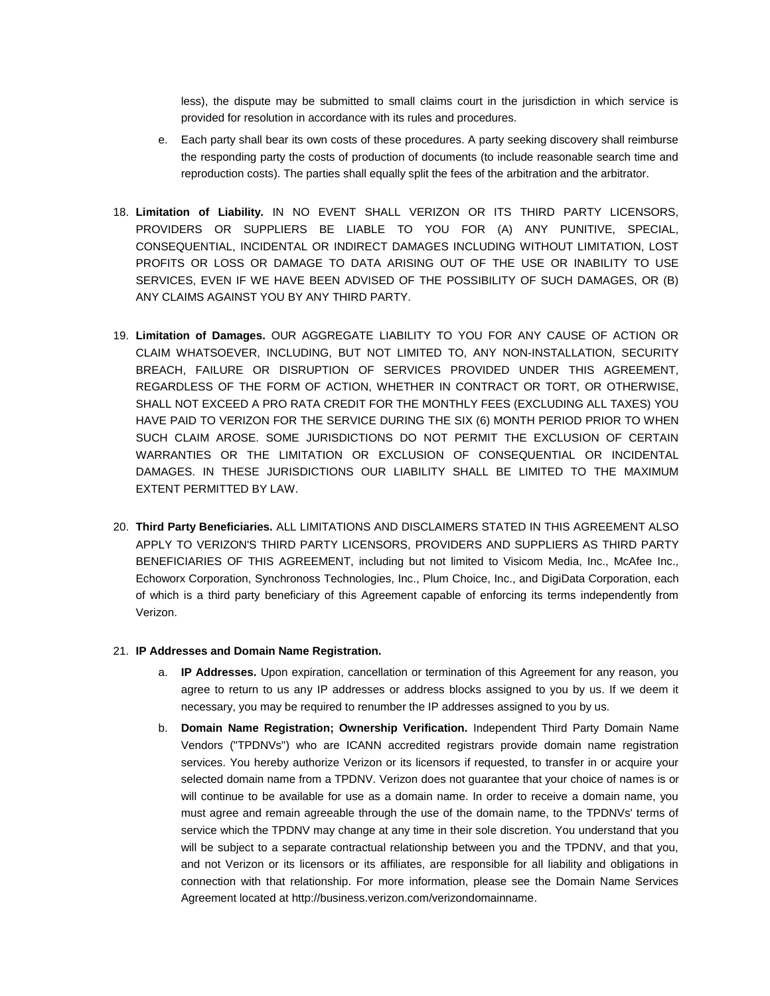less), the dispute may be submitted to small claims court in the jurisdiction in which service is provided for resolution in accordance with its rules and procedures.

- e. Each party shall bear its own costs of these procedures. A party seeking discovery shall reimburse the responding party the costs of production of documents (to include reasonable search time and reproduction costs). The parties shall equally split the fees of the arbitration and the arbitrator.
- 18. **Limitation of Liability.** IN NO EVENT SHALL VERIZON OR ITS THIRD PARTY LICENSORS, PROVIDERS OR SUPPLIERS BE LIABLE TO YOU FOR (A) ANY PUNITIVE, SPECIAL, CONSEQUENTIAL, INCIDENTAL OR INDIRECT DAMAGES INCLUDING WITHOUT LIMITATION, LOST PROFITS OR LOSS OR DAMAGE TO DATA ARISING OUT OF THE USE OR INABILITY TO USE SERVICES, EVEN IF WE HAVE BEEN ADVISED OF THE POSSIBILITY OF SUCH DAMAGES, OR (B) ANY CLAIMS AGAINST YOU BY ANY THIRD PARTY.
- 19. **Limitation of Damages.** OUR AGGREGATE LIABILITY TO YOU FOR ANY CAUSE OF ACTION OR CLAIM WHATSOEVER, INCLUDING, BUT NOT LIMITED TO, ANY NON-INSTALLATION, SECURITY BREACH, FAILURE OR DISRUPTION OF SERVICES PROVIDED UNDER THIS AGREEMENT, REGARDLESS OF THE FORM OF ACTION, WHETHER IN CONTRACT OR TORT, OR OTHERWISE, SHALL NOT EXCEED A PRO RATA CREDIT FOR THE MONTHLY FEES (EXCLUDING ALL TAXES) YOU HAVE PAID TO VERIZON FOR THE SERVICE DURING THE SIX (6) MONTH PERIOD PRIOR TO WHEN SUCH CLAIM AROSE. SOME JURISDICTIONS DO NOT PERMIT THE EXCLUSION OF CERTAIN WARRANTIES OR THE LIMITATION OR EXCLUSION OF CONSEQUENTIAL OR INCIDENTAL DAMAGES. IN THESE JURISDICTIONS OUR LIABILITY SHALL BE LIMITED TO THE MAXIMUM EXTENT PERMITTED BY LAW.
- 20. **Third Party Beneficiaries.** ALL LIMITATIONS AND DISCLAIMERS STATED IN THIS AGREEMENT ALSO APPLY TO VERIZON'S THIRD PARTY LICENSORS, PROVIDERS AND SUPPLIERS AS THIRD PARTY BENEFICIARIES OF THIS AGREEMENT, including but not limited to Visicom Media, Inc., McAfee Inc., Echoworx Corporation, Synchronoss Technologies, Inc., Plum Choice, Inc., and DigiData Corporation, each of which is a third party beneficiary of this Agreement capable of enforcing its terms independently from Verizon.

### 21. **IP Addresses and Domain Name Registration.**

- a. **IP Addresses.** Upon expiration, cancellation or termination of this Agreement for any reason, you agree to return to us any IP addresses or address blocks assigned to you by us. If we deem it necessary, you may be required to renumber the IP addresses assigned to you by us.
- b. **Domain Name Registration; Ownership Verification.** Independent Third Party Domain Name Vendors ("TPDNVs") who are ICANN accredited registrars provide domain name registration services. You hereby authorize Verizon or its licensors if requested, to transfer in or acquire your selected domain name from a TPDNV. Verizon does not guarantee that your choice of names is or will continue to be available for use as a domain name. In order to receive a domain name, you must agree and remain agreeable through the use of the domain name, to the TPDNVs' terms of service which the TPDNV may change at any time in their sole discretion. You understand that you will be subject to a separate contractual relationship between you and the TPDNV, and that you, and not Verizon or its licensors or its affiliates, are responsible for all liability and obligations in connection with that relationship. For more information, please see the Domain Name Services Agreement located at [http://business.verizon.com/verizondomainname.](http://business.verizon.com/verizondomainname)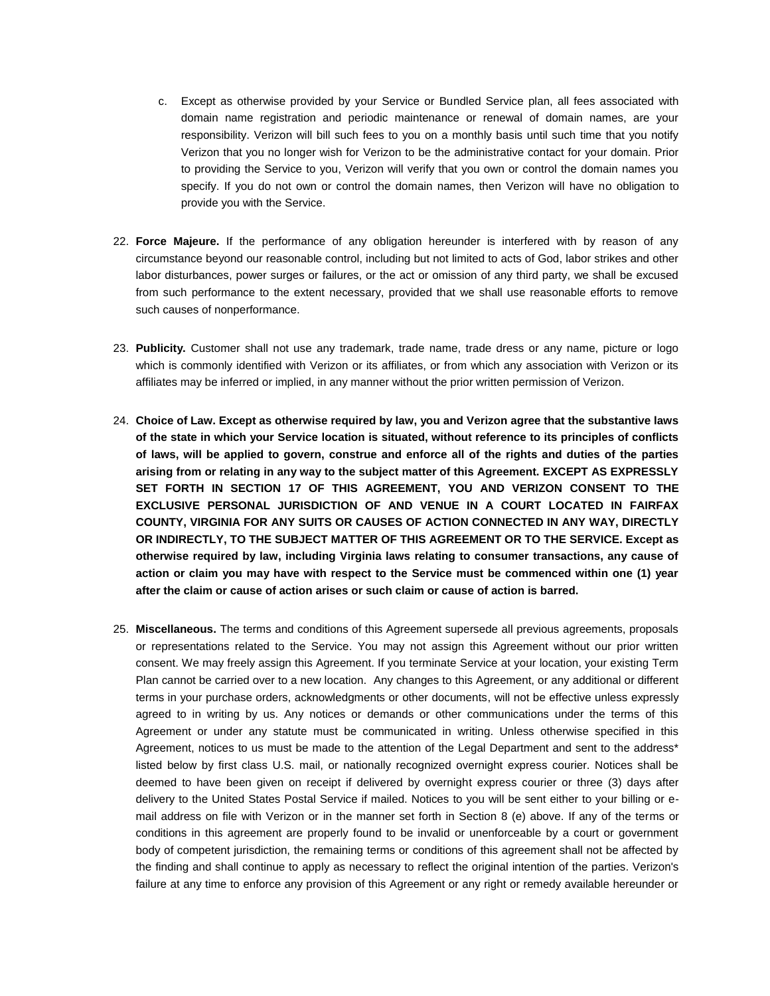- c. Except as otherwise provided by your Service or Bundled Service plan, all fees associated with domain name registration and periodic maintenance or renewal of domain names, are your responsibility. Verizon will bill such fees to you on a monthly basis until such time that you notify Verizon that you no longer wish for Verizon to be the administrative contact for your domain. Prior to providing the Service to you, Verizon will verify that you own or control the domain names you specify. If you do not own or control the domain names, then Verizon will have no obligation to provide you with the Service.
- 22. **Force Majeure.** If the performance of any obligation hereunder is interfered with by reason of any circumstance beyond our reasonable control, including but not limited to acts of God, labor strikes and other labor disturbances, power surges or failures, or the act or omission of any third party, we shall be excused from such performance to the extent necessary, provided that we shall use reasonable efforts to remove such causes of nonperformance.
- 23. **Publicity.** Customer shall not use any trademark, trade name, trade dress or any name, picture or logo which is commonly identified with Verizon or its affiliates, or from which any association with Verizon or its affiliates may be inferred or implied, in any manner without the prior written permission of Verizon.
- 24. **Choice of Law. Except as otherwise required by law, you and Verizon agree that the substantive laws of the state in which your Service location is situated, without reference to its principles of conflicts of laws, will be applied to govern, construe and enforce all of the rights and duties of the parties arising from or relating in any way to the subject matter of this Agreement. EXCEPT AS EXPRESSLY SET FORTH IN SECTION 17 OF THIS AGREEMENT, YOU AND VERIZON CONSENT TO THE EXCLUSIVE PERSONAL JURISDICTION OF AND VENUE IN A COURT LOCATED IN FAIRFAX COUNTY, VIRGINIA FOR ANY SUITS OR CAUSES OF ACTION CONNECTED IN ANY WAY, DIRECTLY OR INDIRECTLY, TO THE SUBJECT MATTER OF THIS AGREEMENT OR TO THE SERVICE. Except as otherwise required by law, including Virginia laws relating to consumer transactions, any cause of action or claim you may have with respect to the Service must be commenced within one (1) year after the claim or cause of action arises or such claim or cause of action is barred.**
- 25. **Miscellaneous.** The terms and conditions of this Agreement supersede all previous agreements, proposals or representations related to the Service. You may not assign this Agreement without our prior written consent. We may freely assign this Agreement. If you terminate Service at your location, your existing Term Plan cannot be carried over to a new location. Any changes to this Agreement, or any additional or different terms in your purchase orders, acknowledgments or other documents, will not be effective unless expressly agreed to in writing by us. Any notices or demands or other communications under the terms of this Agreement or under any statute must be communicated in writing. Unless otherwise specified in this Agreement, notices to us must be made to the attention of the Legal Department and sent to the address\* listed below by first class U.S. mail, or nationally recognized overnight express courier. Notices shall be deemed to have been given on receipt if delivered by overnight express courier or three (3) days after delivery to the United States Postal Service if mailed. Notices to you will be sent either to your billing or email address on file with Verizon or in the manner set forth in Section 8 (e) above. If any of the terms or conditions in this agreement are properly found to be invalid or unenforceable by a court or government body of competent jurisdiction, the remaining terms or conditions of this agreement shall not be affected by the finding and shall continue to apply as necessary to reflect the original intention of the parties. Verizon's failure at any time to enforce any provision of this Agreement or any right or remedy available hereunder or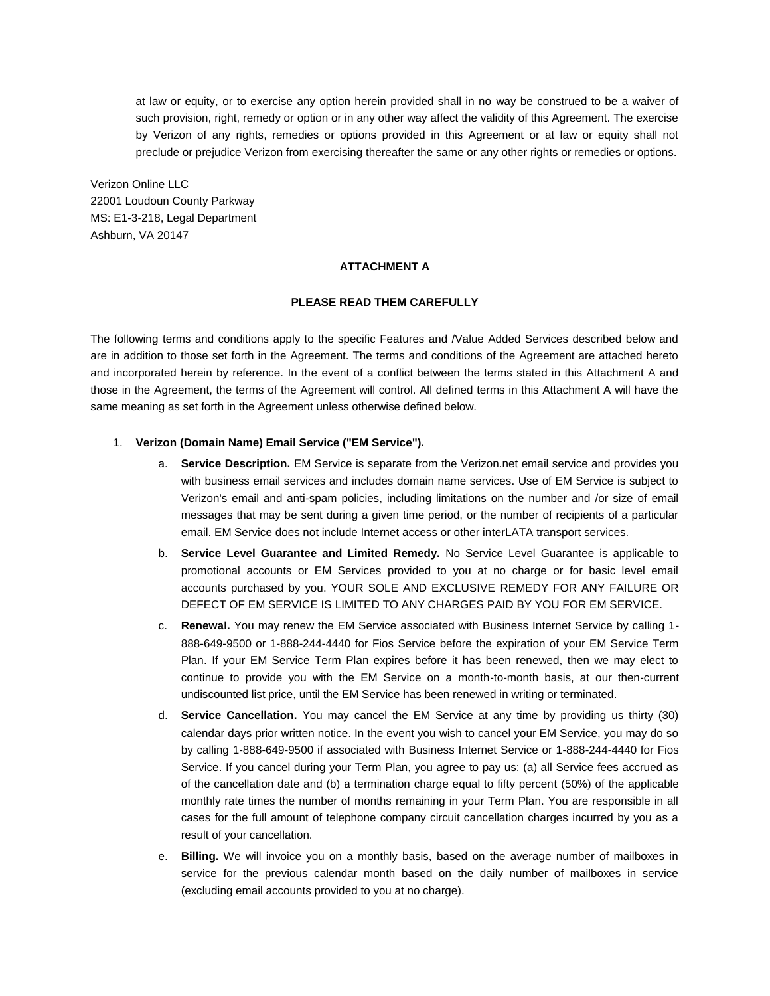at law or equity, or to exercise any option herein provided shall in no way be construed to be a waiver of such provision, right, remedy or option or in any other way affect the validity of this Agreement. The exercise by Verizon of any rights, remedies or options provided in this Agreement or at law or equity shall not preclude or prejudice Verizon from exercising thereafter the same or any other rights or remedies or options.

Verizon Online LLC 22001 Loudoun County Parkway MS: E1-3-218, Legal Department Ashburn, VA 20147

## **ATTACHMENT A**

#### **PLEASE READ THEM CAREFULLY**

The following terms and conditions apply to the specific Features and /Value Added Services described below and are in addition to those set forth in the Agreement. The terms and conditions of the Agreement are attached hereto and incorporated herein by reference. In the event of a conflict between the terms stated in this Attachment A and those in the Agreement, the terms of the Agreement will control. All defined terms in this Attachment A will have the same meaning as set forth in the Agreement unless otherwise defined below.

## 1. **Verizon (Domain Name) Email Service ("EM Service").**

- a. **Service Description.** EM Service is separate from the Verizon.net email service and provides you with business email services and includes domain name services. Use of EM Service is subject to Verizon's email and anti-spam policies, including limitations on the number and /or size of email messages that may be sent during a given time period, or the number of recipients of a particular email. EM Service does not include Internet access or other interLATA transport services.
- b. **Service Level Guarantee and Limited Remedy.** No Service Level Guarantee is applicable to promotional accounts or EM Services provided to you at no charge or for basic level email accounts purchased by you. YOUR SOLE AND EXCLUSIVE REMEDY FOR ANY FAILURE OR DEFECT OF EM SERVICE IS LIMITED TO ANY CHARGES PAID BY YOU FOR EM SERVICE.
- c. **Renewal.** You may renew the EM Service associated with Business Internet Service by calling 1- 888-649-9500 or 1-888-244-4440 for Fios Service before the expiration of your EM Service Term Plan. If your EM Service Term Plan expires before it has been renewed, then we may elect to continue to provide you with the EM Service on a month-to-month basis, at our then-current undiscounted list price, until the EM Service has been renewed in writing or terminated.
- d. **Service Cancellation.** You may cancel the EM Service at any time by providing us thirty (30) calendar days prior written notice. In the event you wish to cancel your EM Service, you may do so by calling 1-888-649-9500 if associated with Business Internet Service or 1-888-244-4440 for Fios Service. If you cancel during your Term Plan, you agree to pay us: (a) all Service fees accrued as of the cancellation date and (b) a termination charge equal to fifty percent (50%) of the applicable monthly rate times the number of months remaining in your Term Plan. You are responsible in all cases for the full amount of telephone company circuit cancellation charges incurred by you as a result of your cancellation.
- e. **Billing.** We will invoice you on a monthly basis, based on the average number of mailboxes in service for the previous calendar month based on the daily number of mailboxes in service (excluding email accounts provided to you at no charge).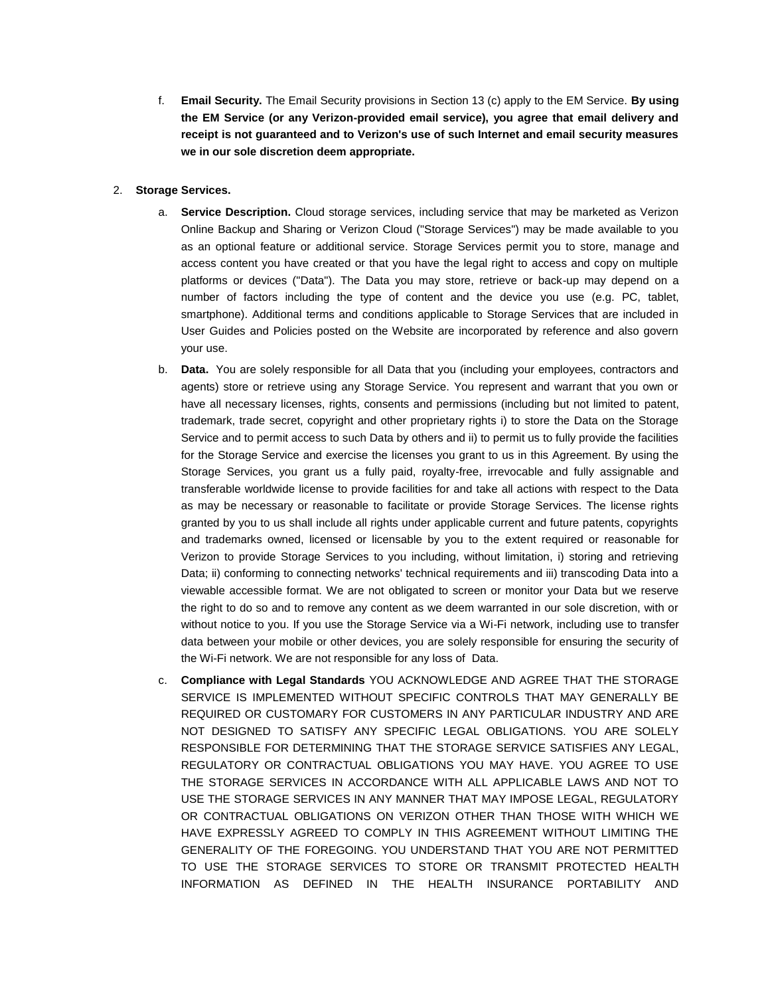f. **Email Security.** The Email Security provisions in Section 13 (c) apply to the EM Service. **By using the EM Service (or any Verizon-provided email service), you agree that email delivery and receipt is not guaranteed and to Verizon's use of such Internet and email security measures we in our sole discretion deem appropriate.**

## 2. **Storage Services.**

- a. **Service Description.** Cloud storage services, including service that may be marketed as Verizon Online Backup and Sharing or Verizon Cloud ("Storage Services") may be made available to you as an optional feature or additional service. Storage Services permit you to store, manage and access content you have created or that you have the legal right to access and copy on multiple platforms or devices ("Data"). The Data you may store, retrieve or back-up may depend on a number of factors including the type of content and the device you use (e.g. PC, tablet, smartphone). Additional terms and conditions applicable to Storage Services that are included in User Guides and Policies posted on the Website are incorporated by reference and also govern your use.
- b. **Data.** You are solely responsible for all Data that you (including your employees, contractors and agents) store or retrieve using any Storage Service. You represent and warrant that you own or have all necessary licenses, rights, consents and permissions (including but not limited to patent, trademark, trade secret, copyright and other proprietary rights i) to store the Data on the Storage Service and to permit access to such Data by others and ii) to permit us to fully provide the facilities for the Storage Service and exercise the licenses you grant to us in this Agreement. By using the Storage Services, you grant us a fully paid, royalty-free, irrevocable and fully assignable and transferable worldwide license to provide facilities for and take all actions with respect to the Data as may be necessary or reasonable to facilitate or provide Storage Services. The license rights granted by you to us shall include all rights under applicable current and future patents, copyrights and trademarks owned, licensed or licensable by you to the extent required or reasonable for Verizon to provide Storage Services to you including, without limitation, i) storing and retrieving Data; ii) conforming to connecting networks' technical requirements and iii) transcoding Data into a viewable accessible format. We are not obligated to screen or monitor your Data but we reserve the right to do so and to remove any content as we deem warranted in our sole discretion, with or without notice to you. If you use the Storage Service via a Wi-Fi network, including use to transfer data between your mobile or other devices, you are solely responsible for ensuring the security of the Wi-Fi network. We are not responsible for any loss of Data.
- c. **Compliance with Legal Standards** YOU ACKNOWLEDGE AND AGREE THAT THE STORAGE SERVICE IS IMPLEMENTED WITHOUT SPECIFIC CONTROLS THAT MAY GENERALLY BE REQUIRED OR CUSTOMARY FOR CUSTOMERS IN ANY PARTICULAR INDUSTRY AND ARE NOT DESIGNED TO SATISFY ANY SPECIFIC LEGAL OBLIGATIONS. YOU ARE SOLELY RESPONSIBLE FOR DETERMINING THAT THE STORAGE SERVICE SATISFIES ANY LEGAL, REGULATORY OR CONTRACTUAL OBLIGATIONS YOU MAY HAVE. YOU AGREE TO USE THE STORAGE SERVICES IN ACCORDANCE WITH ALL APPLICABLE LAWS AND NOT TO USE THE STORAGE SERVICES IN ANY MANNER THAT MAY IMPOSE LEGAL, REGULATORY OR CONTRACTUAL OBLIGATIONS ON VERIZON OTHER THAN THOSE WITH WHICH WE HAVE EXPRESSLY AGREED TO COMPLY IN THIS AGREEMENT WITHOUT LIMITING THE GENERALITY OF THE FOREGOING. YOU UNDERSTAND THAT YOU ARE NOT PERMITTED TO USE THE STORAGE SERVICES TO STORE OR TRANSMIT PROTECTED HEALTH INFORMATION AS DEFINED IN THE HEALTH INSURANCE PORTABILITY AND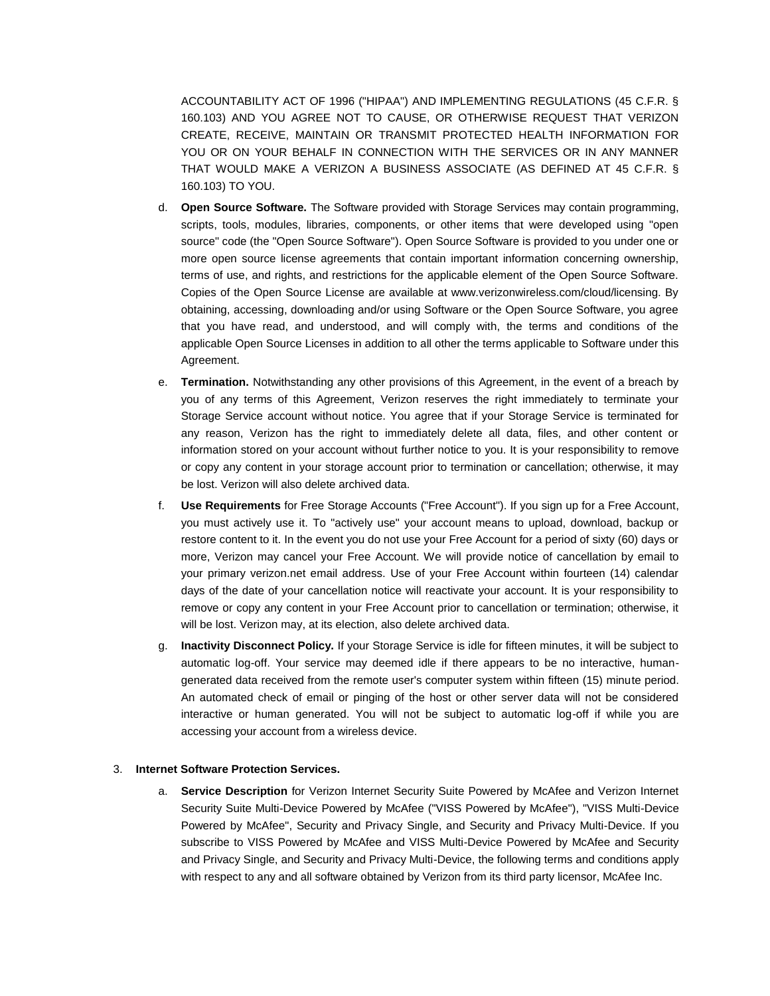ACCOUNTABILITY ACT OF 1996 ("HIPAA") AND IMPLEMENTING REGULATIONS (45 C.F.R. § 160.103) AND YOU AGREE NOT TO CAUSE, OR OTHERWISE REQUEST THAT VERIZON CREATE, RECEIVE, MAINTAIN OR TRANSMIT PROTECTED HEALTH INFORMATION FOR YOU OR ON YOUR BEHALF IN CONNECTION WITH THE SERVICES OR IN ANY MANNER THAT WOULD MAKE A VERIZON A BUSINESS ASSOCIATE (AS DEFINED AT 45 C.F.R. § 160.103) TO YOU.

- d. **Open Source Software.** The Software provided with Storage Services may contain programming, scripts, tools, modules, libraries, components, or other items that were developed using "open source" code (the "Open Source Software"). Open Source Software is provided to you under one or more open source license agreements that contain important information concerning ownership, terms of use, and rights, and restrictions for the applicable element of the Open Source Software. Copies of the Open Source License are available at www.verizonwireless.com/cloud/licensing. By obtaining, accessing, downloading and/or using Software or the Open Source Software, you agree that you have read, and understood, and will comply with, the terms and conditions of the applicable Open Source Licenses in addition to all other the terms applicable to Software under this Agreement.
- e. **Termination.** Notwithstanding any other provisions of this Agreement, in the event of a breach by you of any terms of this Agreement, Verizon reserves the right immediately to terminate your Storage Service account without notice. You agree that if your Storage Service is terminated for any reason, Verizon has the right to immediately delete all data, files, and other content or information stored on your account without further notice to you. It is your responsibility to remove or copy any content in your storage account prior to termination or cancellation; otherwise, it may be lost. Verizon will also delete archived data.
- f. **Use Requirements** for Free Storage Accounts ("Free Account"). If you sign up for a Free Account, you must actively use it. To "actively use" your account means to upload, download, backup or restore content to it. In the event you do not use your Free Account for a period of sixty (60) days or more, Verizon may cancel your Free Account. We will provide notice of cancellation by email to your primary verizon.net email address. Use of your Free Account within fourteen (14) calendar days of the date of your cancellation notice will reactivate your account. It is your responsibility to remove or copy any content in your Free Account prior to cancellation or termination; otherwise, it will be lost. Verizon may, at its election, also delete archived data.
- g. **Inactivity Disconnect Policy.** If your Storage Service is idle for fifteen minutes, it will be subject to automatic log-off. Your service may deemed idle if there appears to be no interactive, humangenerated data received from the remote user's computer system within fifteen (15) minute period. An automated check of email or pinging of the host or other server data will not be considered interactive or human generated. You will not be subject to automatic log-off if while you are accessing your account from a wireless device.

#### 3. **Internet Software Protection Services.**

a. **Service Description** for Verizon Internet Security Suite Powered by McAfee and Verizon Internet Security Suite Multi-Device Powered by McAfee ("VISS Powered by McAfee"), "VISS Multi-Device Powered by McAfee", Security and Privacy Single, and Security and Privacy Multi-Device. If you subscribe to VISS Powered by McAfee and VISS Multi-Device Powered by McAfee and Security and Privacy Single, and Security and Privacy Multi-Device, the following terms and conditions apply with respect to any and all software obtained by Verizon from its third party licensor, McAfee Inc.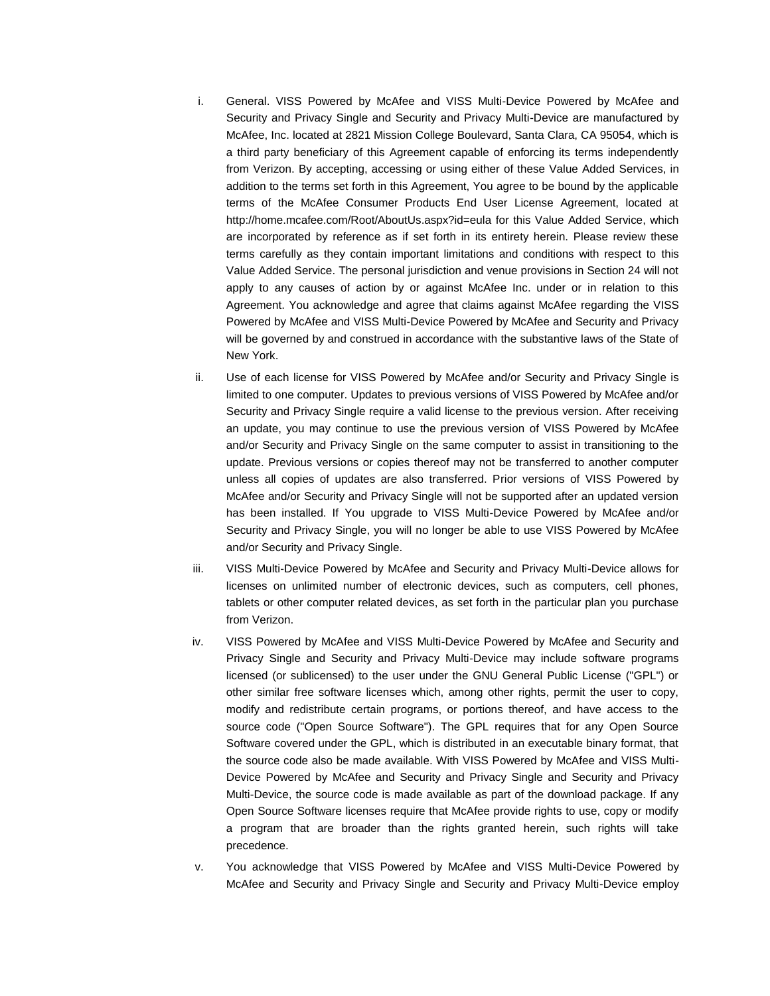- i. General. VISS Powered by McAfee and VISS Multi-Device Powered by McAfee and Security and Privacy Single and Security and Privacy Multi-Device are manufactured by McAfee, Inc. located at 2821 Mission College Boulevard, Santa Clara, CA 95054, which is a third party beneficiary of this Agreement capable of enforcing its terms independently from Verizon. By accepting, accessing or using either of these Value Added Services, in addition to the terms set forth in this Agreement, You agree to be bound by the applicable terms of the McAfee Consumer Products End User License Agreement, located at <http://home.mcafee.com/Root/AboutUs.aspx?id=eula> for this Value Added Service, which are incorporated by reference as if set forth in its entirety herein. Please review these terms carefully as they contain important limitations and conditions with respect to this Value Added Service. The personal jurisdiction and venue provisions in Section 24 will not apply to any causes of action by or against McAfee Inc. under or in relation to this Agreement. You acknowledge and agree that claims against McAfee regarding the VISS Powered by McAfee and VISS Multi-Device Powered by McAfee and Security and Privacy will be governed by and construed in accordance with the substantive laws of the State of New York.
- ii. Use of each license for VISS Powered by McAfee and/or Security and Privacy Single is limited to one computer. Updates to previous versions of VISS Powered by McAfee and/or Security and Privacy Single require a valid license to the previous version. After receiving an update, you may continue to use the previous version of VISS Powered by McAfee and/or Security and Privacy Single on the same computer to assist in transitioning to the update. Previous versions or copies thereof may not be transferred to another computer unless all copies of updates are also transferred. Prior versions of VISS Powered by McAfee and/or Security and Privacy Single will not be supported after an updated version has been installed. If You upgrade to VISS Multi-Device Powered by McAfee and/or Security and Privacy Single, you will no longer be able to use VISS Powered by McAfee and/or Security and Privacy Single.
- iii. VISS Multi-Device Powered by McAfee and Security and Privacy Multi-Device allows for licenses on unlimited number of electronic devices, such as computers, cell phones, tablets or other computer related devices, as set forth in the particular plan you purchase from Verizon.
- iv. VISS Powered by McAfee and VISS Multi-Device Powered by McAfee and Security and Privacy Single and Security and Privacy Multi-Device may include software programs licensed (or sublicensed) to the user under the GNU General Public License ("GPL") or other similar free software licenses which, among other rights, permit the user to copy, modify and redistribute certain programs, or portions thereof, and have access to the source code ("Open Source Software"). The GPL requires that for any Open Source Software covered under the GPL, which is distributed in an executable binary format, that the source code also be made available. With VISS Powered by McAfee and VISS Multi-Device Powered by McAfee and Security and Privacy Single and Security and Privacy Multi-Device, the source code is made available as part of the download package. If any Open Source Software licenses require that McAfee provide rights to use, copy or modify a program that are broader than the rights granted herein, such rights will take precedence.
- v. You acknowledge that VISS Powered by McAfee and VISS Multi-Device Powered by McAfee and Security and Privacy Single and Security and Privacy Multi-Device employ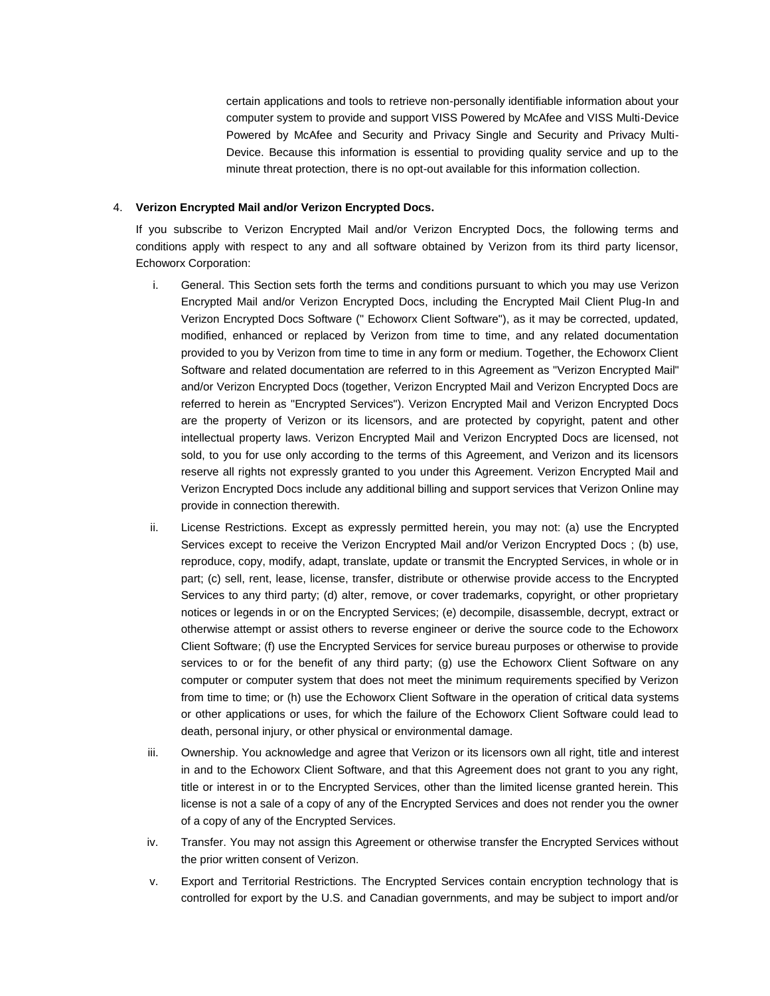certain applications and tools to retrieve non-personally identifiable information about your computer system to provide and support VISS Powered by McAfee and VISS Multi-Device Powered by McAfee and Security and Privacy Single and Security and Privacy Multi-Device. Because this information is essential to providing quality service and up to the minute threat protection, there is no opt-out available for this information collection.

### 4. **Verizon Encrypted Mail and/or Verizon Encrypted Docs.**

If you subscribe to Verizon Encrypted Mail and/or Verizon Encrypted Docs, the following terms and conditions apply with respect to any and all software obtained by Verizon from its third party licensor, Echoworx Corporation:

- i. General. This Section sets forth the terms and conditions pursuant to which you may use Verizon Encrypted Mail and/or Verizon Encrypted Docs, including the Encrypted Mail Client Plug-In and Verizon Encrypted Docs Software (" Echoworx Client Software"), as it may be corrected, updated, modified, enhanced or replaced by Verizon from time to time, and any related documentation provided to you by Verizon from time to time in any form or medium. Together, the Echoworx Client Software and related documentation are referred to in this Agreement as "Verizon Encrypted Mail" and/or Verizon Encrypted Docs (together, Verizon Encrypted Mail and Verizon Encrypted Docs are referred to herein as "Encrypted Services"). Verizon Encrypted Mail and Verizon Encrypted Docs are the property of Verizon or its licensors, and are protected by copyright, patent and other intellectual property laws. Verizon Encrypted Mail and Verizon Encrypted Docs are licensed, not sold, to you for use only according to the terms of this Agreement, and Verizon and its licensors reserve all rights not expressly granted to you under this Agreement. Verizon Encrypted Mail and Verizon Encrypted Docs include any additional billing and support services that Verizon Online may provide in connection therewith.
- ii. License Restrictions. Except as expressly permitted herein, you may not: (a) use the Encrypted Services except to receive the Verizon Encrypted Mail and/or Verizon Encrypted Docs ; (b) use, reproduce, copy, modify, adapt, translate, update or transmit the Encrypted Services, in whole or in part; (c) sell, rent, lease, license, transfer, distribute or otherwise provide access to the Encrypted Services to any third party; (d) alter, remove, or cover trademarks, copyright, or other proprietary notices or legends in or on the Encrypted Services; (e) decompile, disassemble, decrypt, extract or otherwise attempt or assist others to reverse engineer or derive the source code to the Echoworx Client Software; (f) use the Encrypted Services for service bureau purposes or otherwise to provide services to or for the benefit of any third party; (g) use the Echoworx Client Software on any computer or computer system that does not meet the minimum requirements specified by Verizon from time to time; or (h) use the Echoworx Client Software in the operation of critical data systems or other applications or uses, for which the failure of the Echoworx Client Software could lead to death, personal injury, or other physical or environmental damage.
- iii. Ownership. You acknowledge and agree that Verizon or its licensors own all right, title and interest in and to the Echoworx Client Software, and that this Agreement does not grant to you any right, title or interest in or to the Encrypted Services, other than the limited license granted herein. This license is not a sale of a copy of any of the Encrypted Services and does not render you the owner of a copy of any of the Encrypted Services.
- iv. Transfer. You may not assign this Agreement or otherwise transfer the Encrypted Services without the prior written consent of Verizon.
- v. Export and Territorial Restrictions. The Encrypted Services contain encryption technology that is controlled for export by the U.S. and Canadian governments, and may be subject to import and/or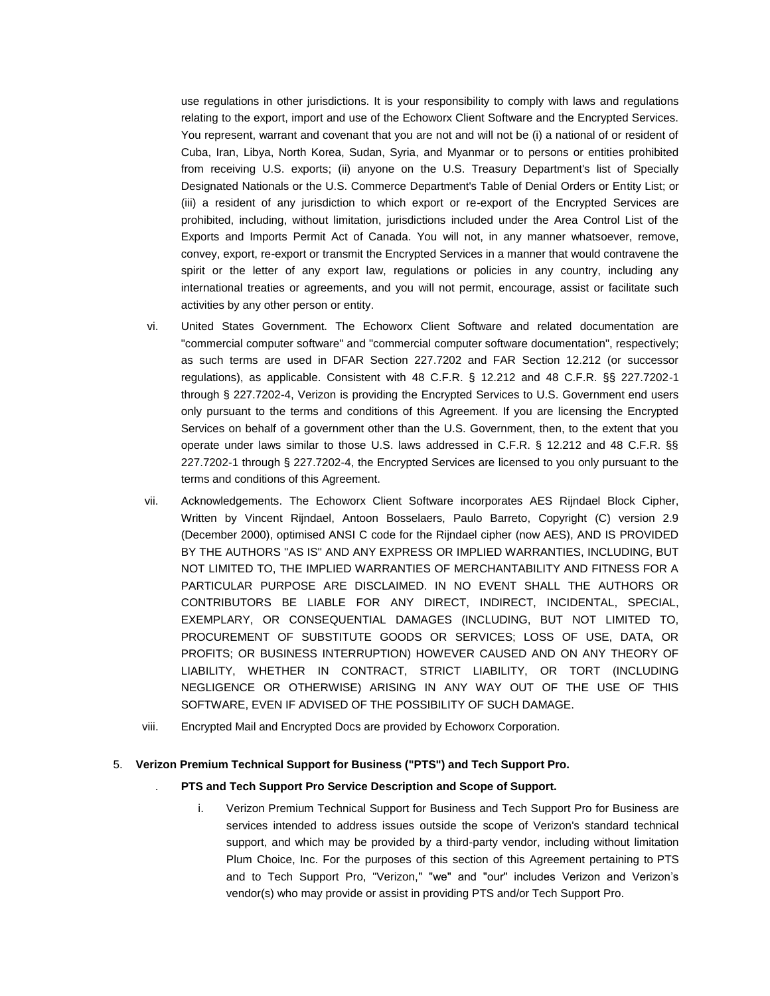use regulations in other jurisdictions. It is your responsibility to comply with laws and regulations relating to the export, import and use of the Echoworx Client Software and the Encrypted Services. You represent, warrant and covenant that you are not and will not be (i) a national of or resident of Cuba, Iran, Libya, North Korea, Sudan, Syria, and Myanmar or to persons or entities prohibited from receiving U.S. exports; (ii) anyone on the U.S. Treasury Department's list of Specially Designated Nationals or the U.S. Commerce Department's Table of Denial Orders or Entity List; or (iii) a resident of any jurisdiction to which export or re-export of the Encrypted Services are prohibited, including, without limitation, jurisdictions included under the Area Control List of the Exports and Imports Permit Act of Canada. You will not, in any manner whatsoever, remove, convey, export, re-export or transmit the Encrypted Services in a manner that would contravene the spirit or the letter of any export law, regulations or policies in any country, including any international treaties or agreements, and you will not permit, encourage, assist or facilitate such activities by any other person or entity.

- vi. United States Government. The Echoworx Client Software and related documentation are "commercial computer software" and "commercial computer software documentation", respectively; as such terms are used in DFAR Section 227.7202 and FAR Section 12.212 (or successor regulations), as applicable. Consistent with 48 C.F.R. § 12.212 and 48 C.F.R. §§ 227.7202-1 through § 227.7202-4, Verizon is providing the Encrypted Services to U.S. Government end users only pursuant to the terms and conditions of this Agreement. If you are licensing the Encrypted Services on behalf of a government other than the U.S. Government, then, to the extent that you operate under laws similar to those U.S. laws addressed in C.F.R. § 12.212 and 48 C.F.R. §§ 227.7202-1 through § 227.7202-4, the Encrypted Services are licensed to you only pursuant to the terms and conditions of this Agreement.
- vii. Acknowledgements. The Echoworx Client Software incorporates AES Rijndael Block Cipher, Written by Vincent Rijndael, Antoon Bosselaers, Paulo Barreto, Copyright (C) version 2.9 (December 2000), optimised ANSI C code for the Rijndael cipher (now AES), AND IS PROVIDED BY THE AUTHORS ''AS IS'' AND ANY EXPRESS OR IMPLIED WARRANTIES, INCLUDING, BUT NOT LIMITED TO, THE IMPLIED WARRANTIES OF MERCHANTABILITY AND FITNESS FOR A PARTICULAR PURPOSE ARE DISCLAIMED. IN NO EVENT SHALL THE AUTHORS OR CONTRIBUTORS BE LIABLE FOR ANY DIRECT, INDIRECT, INCIDENTAL, SPECIAL, EXEMPLARY, OR CONSEQUENTIAL DAMAGES (INCLUDING, BUT NOT LIMITED TO, PROCUREMENT OF SUBSTITUTE GOODS OR SERVICES; LOSS OF USE, DATA, OR PROFITS; OR BUSINESS INTERRUPTION) HOWEVER CAUSED AND ON ANY THEORY OF LIABILITY, WHETHER IN CONTRACT, STRICT LIABILITY, OR TORT (INCLUDING NEGLIGENCE OR OTHERWISE) ARISING IN ANY WAY OUT OF THE USE OF THIS SOFTWARE, EVEN IF ADVISED OF THE POSSIBILITY OF SUCH DAMAGE.
- viii. Encrypted Mail and Encrypted Docs are provided by Echoworx Corporation.

#### 5. **Verizon Premium Technical Support for Business ("PTS") and Tech Support Pro.**

- . **PTS and Tech Support Pro Service Description and Scope of Support.**
	- i. Verizon Premium Technical Support for Business and Tech Support Pro for Business are services intended to address issues outside the scope of Verizon's standard technical support, and which may be provided by a third-party vendor, including without limitation Plum Choice, Inc. For the purposes of this section of this Agreement pertaining to PTS and to Tech Support Pro, "Verizon," "we" and "our" includes Verizon and Verizon's vendor(s) who may provide or assist in providing PTS and/or Tech Support Pro.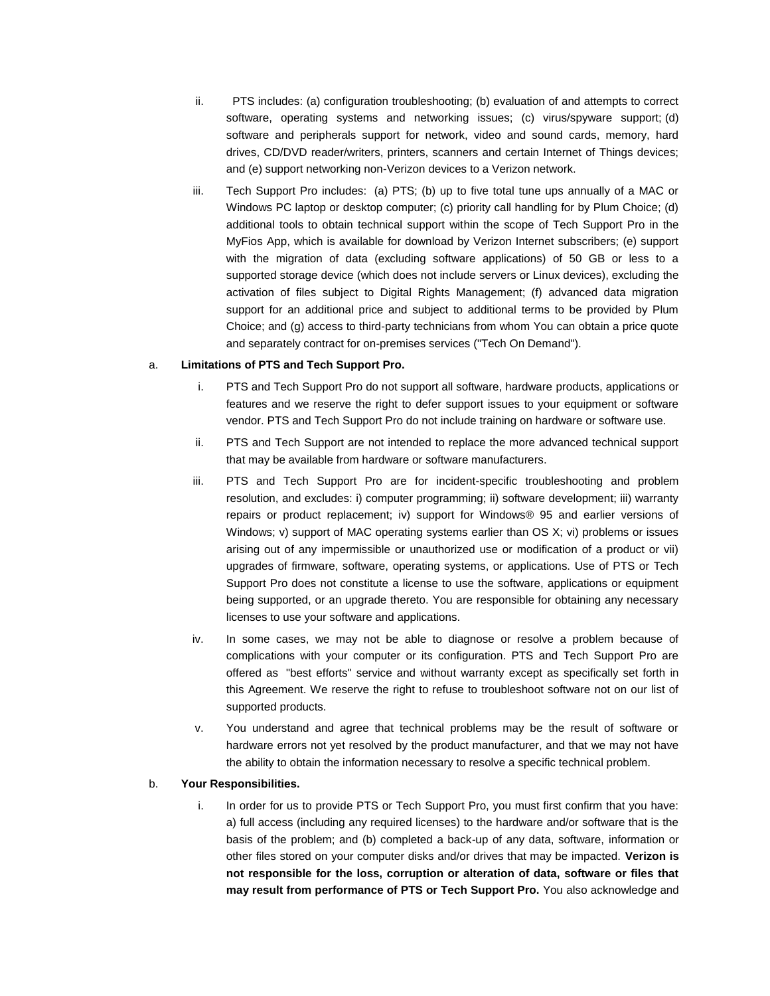- ii. PTS includes: (a) configuration troubleshooting; (b) evaluation of and attempts to correct software, operating systems and networking issues; (c) virus/spyware support; (d) software and peripherals support for network, video and sound cards, memory, hard drives, CD/DVD reader/writers, printers, scanners and certain Internet of Things devices; and (e) support networking non-Verizon devices to a Verizon network.
- iii. Tech Support Pro includes: (a) PTS; (b) up to five total tune ups annually of a MAC or Windows PC laptop or desktop computer; (c) priority call handling for by Plum Choice; (d) additional tools to obtain technical support within the scope of Tech Support Pro in the MyFios App, which is available for download by Verizon Internet subscribers; (e) support with the migration of data (excluding software applications) of 50 GB or less to a supported storage device (which does not include servers or Linux devices), excluding the activation of files subject to Digital Rights Management; (f) advanced data migration support for an additional price and subject to additional terms to be provided by Plum Choice; and (g) access to third-party technicians from whom You can obtain a price quote and separately contract for on-premises services ("Tech On Demand").

#### a. **Limitations of PTS and Tech Support Pro.**

- i. PTS and Tech Support Pro do not support all software, hardware products, applications or features and we reserve the right to defer support issues to your equipment or software vendor. PTS and Tech Support Pro do not include training on hardware or software use.
- ii. PTS and Tech Support are not intended to replace the more advanced technical support that may be available from hardware or software manufacturers.
- iii. PTS and Tech Support Pro are for incident-specific troubleshooting and problem resolution, and excludes: i) computer programming; ii) software development; iii) warranty repairs or product replacement; iv) support for Windows® 95 and earlier versions of Windows; v) support of MAC operating systems earlier than OS X; vi) problems or issues arising out of any impermissible or unauthorized use or modification of a product or vii) upgrades of firmware, software, operating systems, or applications. Use of PTS or Tech Support Pro does not constitute a license to use the software, applications or equipment being supported, or an upgrade thereto. You are responsible for obtaining any necessary licenses to use your software and applications.
- iv. In some cases, we may not be able to diagnose or resolve a problem because of complications with your computer or its configuration. PTS and Tech Support Pro are offered as "best efforts" service and without warranty except as specifically set forth in this Agreement. We reserve the right to refuse to troubleshoot software not on our list of supported products.
- v. You understand and agree that technical problems may be the result of software or hardware errors not yet resolved by the product manufacturer, and that we may not have the ability to obtain the information necessary to resolve a specific technical problem.

#### b. **Your Responsibilities.**

i. In order for us to provide PTS or Tech Support Pro, you must first confirm that you have: a) full access (including any required licenses) to the hardware and/or software that is the basis of the problem; and (b) completed a back-up of any data, software, information or other files stored on your computer disks and/or drives that may be impacted. **Verizon is not responsible for the loss, corruption or alteration of data, software or files that may result from performance of PTS or Tech Support Pro.** You also acknowledge and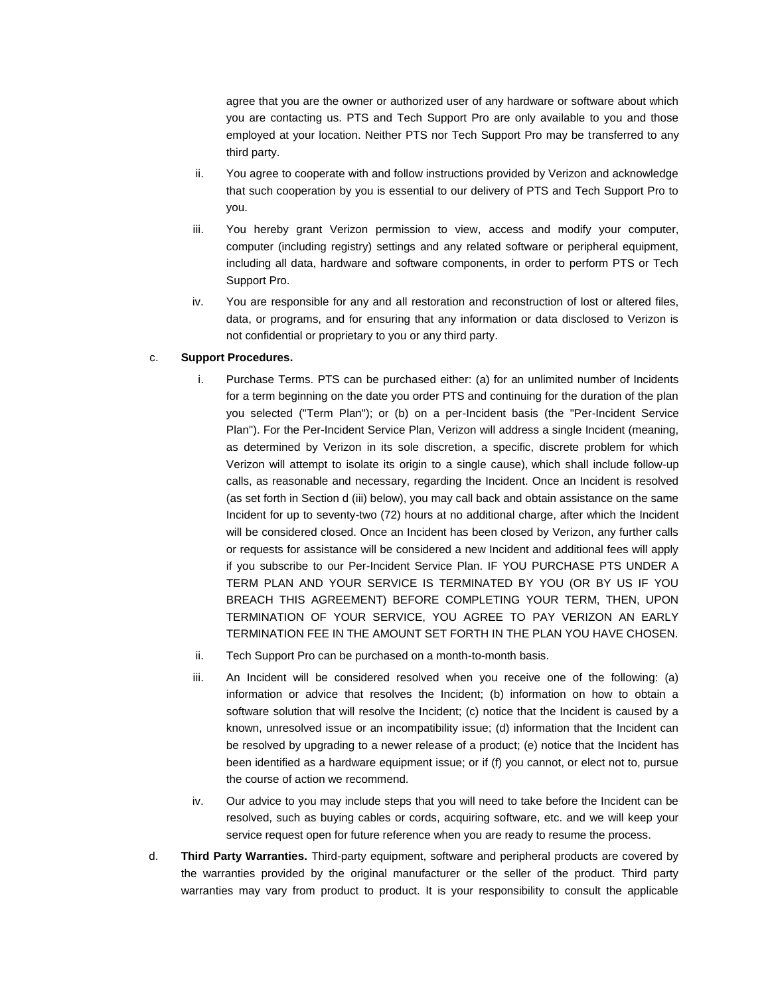agree that you are the owner or authorized user of any hardware or software about which you are contacting us. PTS and Tech Support Pro are only available to you and those employed at your location. Neither PTS nor Tech Support Pro may be transferred to any third party.

- ii. You agree to cooperate with and follow instructions provided by Verizon and acknowledge that such cooperation by you is essential to our delivery of PTS and Tech Support Pro to you.
- iii. You hereby grant Verizon permission to view, access and modify your computer, computer (including registry) settings and any related software or peripheral equipment, including all data, hardware and software components, in order to perform PTS or Tech Support Pro.
- iv. You are responsible for any and all restoration and reconstruction of lost or altered files, data, or programs, and for ensuring that any information or data disclosed to Verizon is not confidential or proprietary to you or any third party.

## c. **Support Procedures.**

- i. Purchase Terms. PTS can be purchased either: (a) for an unlimited number of Incidents for a term beginning on the date you order PTS and continuing for the duration of the plan you selected ("Term Plan"); or (b) on a per-Incident basis (the "Per-Incident Service Plan"). For the Per-Incident Service Plan, Verizon will address a single Incident (meaning, as determined by Verizon in its sole discretion, a specific, discrete problem for which Verizon will attempt to isolate its origin to a single cause), which shall include follow-up calls, as reasonable and necessary, regarding the Incident. Once an Incident is resolved (as set forth in Section d (iii) below), you may call back and obtain assistance on the same Incident for up to seventy-two (72) hours at no additional charge, after which the Incident will be considered closed. Once an Incident has been closed by Verizon, any further calls or requests for assistance will be considered a new Incident and additional fees will apply if you subscribe to our Per-Incident Service Plan. IF YOU PURCHASE PTS UNDER A TERM PLAN AND YOUR SERVICE IS TERMINATED BY YOU (OR BY US IF YOU BREACH THIS AGREEMENT) BEFORE COMPLETING YOUR TERM, THEN, UPON TERMINATION OF YOUR SERVICE, YOU AGREE TO PAY VERIZON AN EARLY TERMINATION FEE IN THE AMOUNT SET FORTH IN THE PLAN YOU HAVE CHOSEN.
- ii. Tech Support Pro can be purchased on a month-to-month basis.
- iii. An Incident will be considered resolved when you receive one of the following: (a) information or advice that resolves the Incident; (b) information on how to obtain a software solution that will resolve the Incident; (c) notice that the Incident is caused by a known, unresolved issue or an incompatibility issue; (d) information that the Incident can be resolved by upgrading to a newer release of a product; (e) notice that the Incident has been identified as a hardware equipment issue; or if (f) you cannot, or elect not to, pursue the course of action we recommend.
- iv. Our advice to you may include steps that you will need to take before the Incident can be resolved, such as buying cables or cords, acquiring software, etc. and we will keep your service request open for future reference when you are ready to resume the process.
- d. **Third Party Warranties.** Third-party equipment, software and peripheral products are covered by the warranties provided by the original manufacturer or the seller of the product. Third party warranties may vary from product to product. It is your responsibility to consult the applicable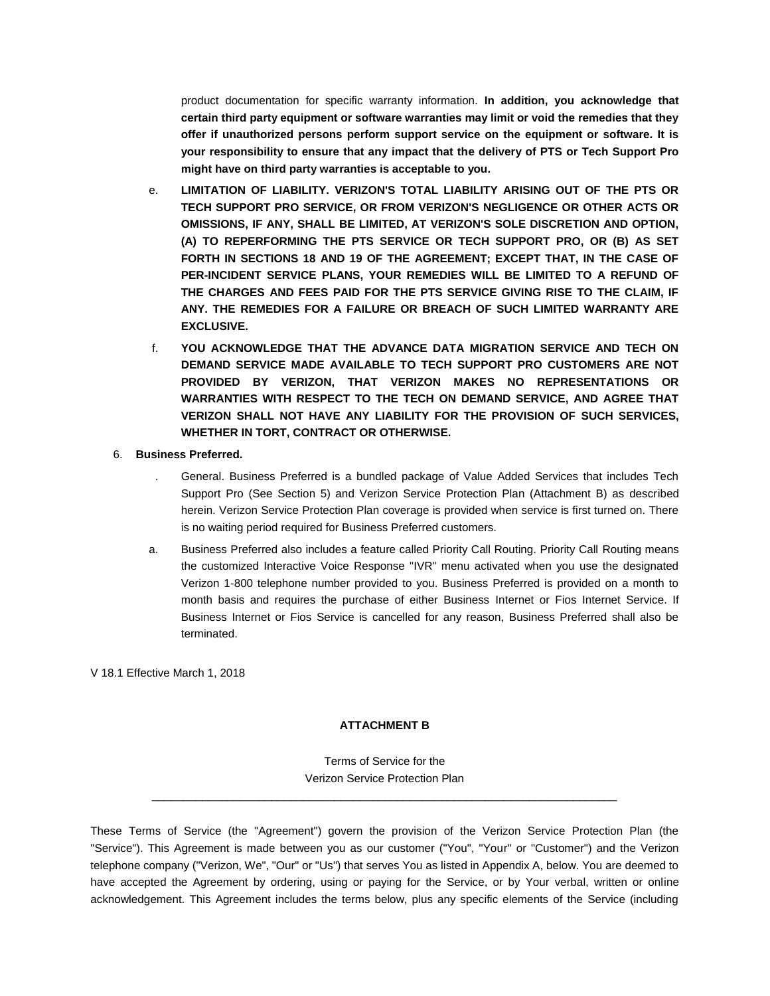product documentation for specific warranty information. **In addition, you acknowledge that certain third party equipment or software warranties may limit or void the remedies that they offer if unauthorized persons perform support service on the equipment or software. It is your responsibility to ensure that any impact that the delivery of PTS or Tech Support Pro might have on third party warranties is acceptable to you.**

- e. **LIMITATION OF LIABILITY. VERIZON'S TOTAL LIABILITY ARISING OUT OF THE PTS OR TECH SUPPORT PRO SERVICE, OR FROM VERIZON'S NEGLIGENCE OR OTHER ACTS OR OMISSIONS, IF ANY, SHALL BE LIMITED, AT VERIZON'S SOLE DISCRETION AND OPTION, (A) TO REPERFORMING THE PTS SERVICE OR TECH SUPPORT PRO, OR (B) AS SET FORTH IN SECTIONS 18 AND 19 OF THE AGREEMENT; EXCEPT THAT, IN THE CASE OF PER-INCIDENT SERVICE PLANS, YOUR REMEDIES WILL BE LIMITED TO A REFUND OF THE CHARGES AND FEES PAID FOR THE PTS SERVICE GIVING RISE TO THE CLAIM, IF ANY. THE REMEDIES FOR A FAILURE OR BREACH OF SUCH LIMITED WARRANTY ARE EXCLUSIVE.**
- f. **YOU ACKNOWLEDGE THAT THE ADVANCE DATA MIGRATION SERVICE AND TECH ON DEMAND SERVICE MADE AVAILABLE TO TECH SUPPORT PRO CUSTOMERS ARE NOT PROVIDED BY VERIZON, THAT VERIZON MAKES NO REPRESENTATIONS OR WARRANTIES WITH RESPECT TO THE TECH ON DEMAND SERVICE, AND AGREE THAT VERIZON SHALL NOT HAVE ANY LIABILITY FOR THE PROVISION OF SUCH SERVICES, WHETHER IN TORT, CONTRACT OR OTHERWISE.**

## 6. **Business Preferred.**

- . General. Business Preferred is a bundled package of Value Added Services that includes Tech Support Pro (See Section 5) and Verizon Service Protection Plan (Attachment B) as described herein. Verizon Service Protection Plan coverage is provided when service is first turned on. There is no waiting period required for Business Preferred customers.
- a. Business Preferred also includes a feature called Priority Call Routing. Priority Call Routing means the customized Interactive Voice Response "IVR" menu activated when you use the designated Verizon 1-800 telephone number provided to you. Business Preferred is provided on a month to month basis and requires the purchase of either Business Internet or Fios Internet Service. If Business Internet or Fios Service is cancelled for any reason, Business Preferred shall also be terminated.

V 18.1 Effective March 1, 2018

## **ATTACHMENT B**

Terms of Service for the Verizon Service Protection Plan \_\_\_\_\_\_\_\_\_\_\_\_\_\_\_\_\_\_\_\_\_\_\_\_\_\_\_\_\_\_\_\_\_\_\_\_\_\_\_\_\_\_\_\_\_\_\_\_\_\_\_\_\_\_\_\_\_\_\_\_\_\_\_\_\_\_\_\_\_\_\_\_\_\_

These Terms of Service (the "Agreement") govern the provision of the Verizon Service Protection Plan (the "Service"). This Agreement is made between you as our customer ("You", "Your" or "Customer") and the Verizon telephone company ("Verizon, We", "Our" or "Us") that serves You as listed in Appendix A, below. You are deemed to have accepted the Agreement by ordering, using or paying for the Service, or by Your verbal, written or online acknowledgement. This Agreement includes the terms below, plus any specific elements of the Service (including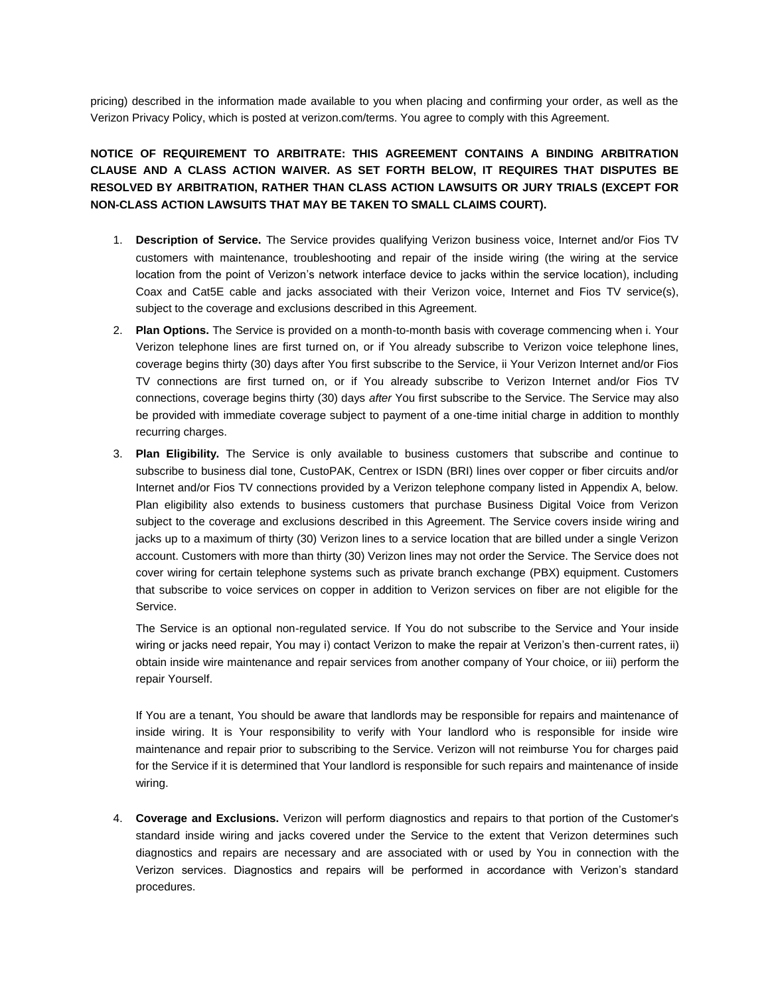pricing) described in the information made available to you when placing and confirming your order, as well as the Verizon Privacy Policy, which is posted at verizon.com/terms. You agree to comply with this Agreement.

**NOTICE OF REQUIREMENT TO ARBITRATE: THIS AGREEMENT CONTAINS A BINDING ARBITRATION CLAUSE AND A CLASS ACTION WAIVER. AS SET FORTH BELOW, IT REQUIRES THAT DISPUTES BE RESOLVED BY ARBITRATION, RATHER THAN CLASS ACTION LAWSUITS OR JURY TRIALS (EXCEPT FOR NON-CLASS ACTION LAWSUITS THAT MAY BE TAKEN TO SMALL CLAIMS COURT).**

- 1. **Description of Service.** The Service provides qualifying Verizon business voice, Internet and/or Fios TV customers with maintenance, troubleshooting and repair of the inside wiring (the wiring at the service location from the point of Verizon's network interface device to jacks within the service location), including Coax and Cat5E cable and jacks associated with their Verizon voice, Internet and Fios TV service(s), subject to the coverage and exclusions described in this Agreement.
- 2. **Plan Options.** The Service is provided on a month-to-month basis with coverage commencing when i. Your Verizon telephone lines are first turned on, or if You already subscribe to Verizon voice telephone lines, coverage begins thirty (30) days after You first subscribe to the Service, ii Your Verizon Internet and/or Fios TV connections are first turned on, or if You already subscribe to Verizon Internet and/or Fios TV connections, coverage begins thirty (30) days *after* You first subscribe to the Service. The Service may also be provided with immediate coverage subject to payment of a one-time initial charge in addition to monthly recurring charges.
- 3. **Plan Eligibility.** The Service is only available to business customers that subscribe and continue to subscribe to business dial tone, CustoPAK, Centrex or ISDN (BRI) lines over copper or fiber circuits and/or Internet and/or Fios TV connections provided by a Verizon telephone company listed in Appendix A, below. Plan eligibility also extends to business customers that purchase Business Digital Voice from Verizon subject to the coverage and exclusions described in this Agreement. The Service covers inside wiring and jacks up to a maximum of thirty (30) Verizon lines to a service location that are billed under a single Verizon account. Customers with more than thirty (30) Verizon lines may not order the Service. The Service does not cover wiring for certain telephone systems such as private branch exchange (PBX) equipment. Customers that subscribe to voice services on copper in addition to Verizon services on fiber are not eligible for the Service.

The Service is an optional non-regulated service. If You do not subscribe to the Service and Your inside wiring or jacks need repair, You may i) contact Verizon to make the repair at Verizon's then-current rates, ii) obtain inside wire maintenance and repair services from another company of Your choice, or iii) perform the repair Yourself.

If You are a tenant, You should be aware that landlords may be responsible for repairs and maintenance of inside wiring. It is Your responsibility to verify with Your landlord who is responsible for inside wire maintenance and repair prior to subscribing to the Service. Verizon will not reimburse You for charges paid for the Service if it is determined that Your landlord is responsible for such repairs and maintenance of inside wiring.

4. **Coverage and Exclusions.** Verizon will perform diagnostics and repairs to that portion of the Customer's standard inside wiring and jacks covered under the Service to the extent that Verizon determines such diagnostics and repairs are necessary and are associated with or used by You in connection with the Verizon services. Diagnostics and repairs will be performed in accordance with Verizon's standard procedures.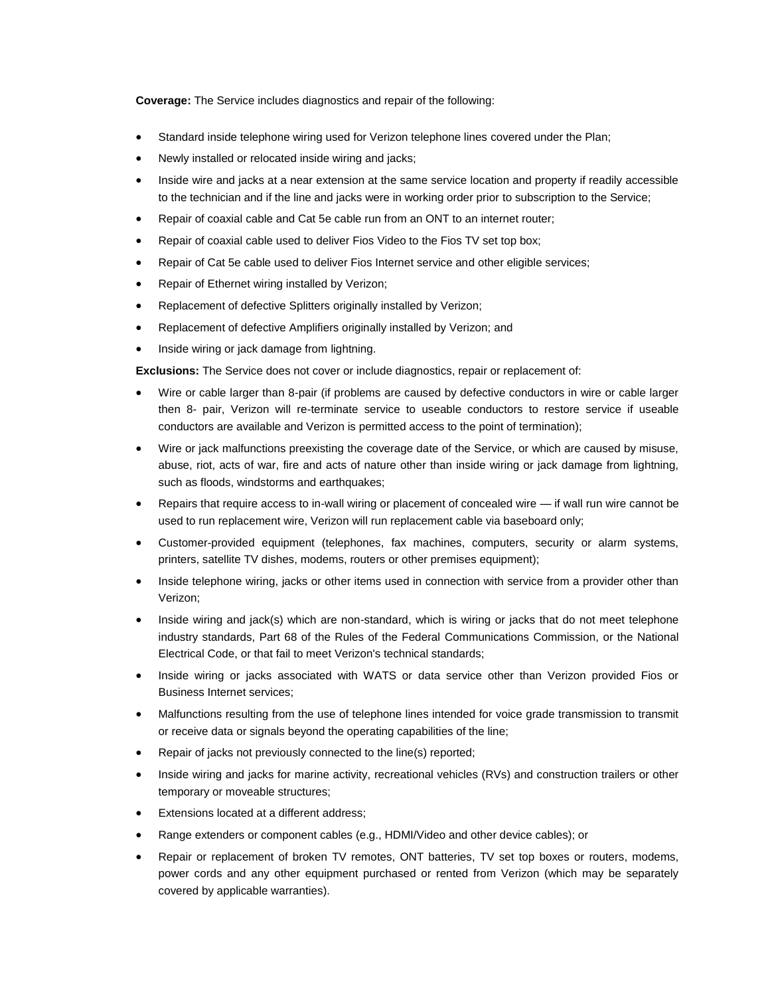**Coverage:** The Service includes diagnostics and repair of the following:

- Standard inside telephone wiring used for Verizon telephone lines covered under the Plan;
- Newly installed or relocated inside wiring and jacks;
- Inside wire and jacks at a near extension at the same service location and property if readily accessible to the technician and if the line and jacks were in working order prior to subscription to the Service;
- Repair of coaxial cable and Cat 5e cable run from an ONT to an internet router;
- Repair of coaxial cable used to deliver Fios Video to the Fios TV set top box;
- Repair of Cat 5e cable used to deliver Fios Internet service and other eligible services;
- Repair of Ethernet wiring installed by Verizon;
- Replacement of defective Splitters originally installed by Verizon;
- Replacement of defective Amplifiers originally installed by Verizon; and
- Inside wiring or jack damage from lightning.

**Exclusions:** The Service does not cover or include diagnostics, repair or replacement of:

- Wire or cable larger than 8-pair (if problems are caused by defective conductors in wire or cable larger then 8- pair, Verizon will re-terminate service to useable conductors to restore service if useable conductors are available and Verizon is permitted access to the point of termination);
- Wire or jack malfunctions preexisting the coverage date of the Service, or which are caused by misuse, abuse, riot, acts of war, fire and acts of nature other than inside wiring or jack damage from lightning, such as floods, windstorms and earthquakes;
- Repairs that require access to in-wall wiring or placement of concealed wire if wall run wire cannot be used to run replacement wire, Verizon will run replacement cable via baseboard only;
- Customer-provided equipment (telephones, fax machines, computers, security or alarm systems, printers, satellite TV dishes, modems, routers or other premises equipment);
- Inside telephone wiring, jacks or other items used in connection with service from a provider other than Verizon;
- Inside wiring and jack(s) which are non-standard, which is wiring or jacks that do not meet telephone industry standards, Part 68 of the Rules of the Federal Communications Commission, or the National Electrical Code, or that fail to meet Verizon's technical standards;
- Inside wiring or jacks associated with WATS or data service other than Verizon provided Fios or Business Internet services;
- Malfunctions resulting from the use of telephone lines intended for voice grade transmission to transmit or receive data or signals beyond the operating capabilities of the line;
- Repair of jacks not previously connected to the line(s) reported;
- Inside wiring and jacks for marine activity, recreational vehicles (RVs) and construction trailers or other temporary or moveable structures;
- Extensions located at a different address;
- Range extenders or component cables (e.g., HDMI/Video and other device cables); or
- Repair or replacement of broken TV remotes, ONT batteries, TV set top boxes or routers, modems, power cords and any other equipment purchased or rented from Verizon (which may be separately covered by applicable warranties).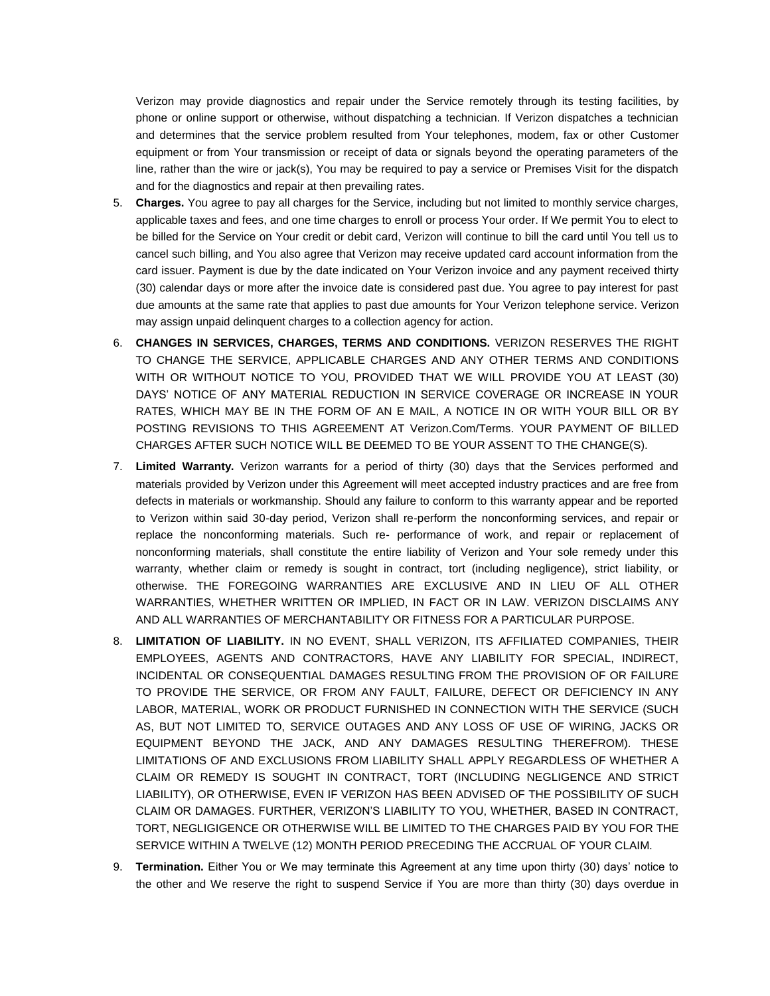Verizon may provide diagnostics and repair under the Service remotely through its testing facilities, by phone or online support or otherwise, without dispatching a technician. If Verizon dispatches a technician and determines that the service problem resulted from Your telephones, modem, fax or other Customer equipment or from Your transmission or receipt of data or signals beyond the operating parameters of the line, rather than the wire or jack(s), You may be required to pay a service or Premises Visit for the dispatch and for the diagnostics and repair at then prevailing rates.

- 5. **Charges.** You agree to pay all charges for the Service, including but not limited to monthly service charges, applicable taxes and fees, and one time charges to enroll or process Your order. If We permit You to elect to be billed for the Service on Your credit or debit card, Verizon will continue to bill the card until You tell us to cancel such billing, and You also agree that Verizon may receive updated card account information from the card issuer. Payment is due by the date indicated on Your Verizon invoice and any payment received thirty (30) calendar days or more after the invoice date is considered past due. You agree to pay interest for past due amounts at the same rate that applies to past due amounts for Your Verizon telephone service. Verizon may assign unpaid delinquent charges to a collection agency for action.
- 6. **CHANGES IN SERVICES, CHARGES, TERMS AND CONDITIONS.** VERIZON RESERVES THE RIGHT TO CHANGE THE SERVICE, APPLICABLE CHARGES AND ANY OTHER TERMS AND CONDITIONS WITH OR WITHOUT NOTICE TO YOU, PROVIDED THAT WE WILL PROVIDE YOU AT LEAST (30) DAYS' NOTICE OF ANY MATERIAL REDUCTION IN SERVICE COVERAGE OR INCREASE IN YOUR RATES, WHICH MAY BE IN THE FORM OF AN E MAIL, A NOTICE IN OR WITH YOUR BILL OR BY POSTING REVISIONS TO THIS AGREEMENT AT Verizon.Com/Terms. YOUR PAYMENT OF BILLED CHARGES AFTER SUCH NOTICE WILL BE DEEMED TO BE YOUR ASSENT TO THE CHANGE(S).
- 7. **Limited Warranty.** Verizon warrants for a period of thirty (30) days that the Services performed and materials provided by Verizon under this Agreement will meet accepted industry practices and are free from defects in materials or workmanship. Should any failure to conform to this warranty appear and be reported to Verizon within said 30-day period, Verizon shall re-perform the nonconforming services, and repair or replace the nonconforming materials. Such re- performance of work, and repair or replacement of nonconforming materials, shall constitute the entire liability of Verizon and Your sole remedy under this warranty, whether claim or remedy is sought in contract, tort (including negligence), strict liability, or otherwise. THE FOREGOING WARRANTIES ARE EXCLUSIVE AND IN LIEU OF ALL OTHER WARRANTIES, WHETHER WRITTEN OR IMPLIED, IN FACT OR IN LAW. VERIZON DISCLAIMS ANY AND ALL WARRANTIES OF MERCHANTABILITY OR FITNESS FOR A PARTICULAR PURPOSE.
- 8. **LIMITATION OF LIABILITY.** IN NO EVENT, SHALL VERIZON, ITS AFFILIATED COMPANIES, THEIR EMPLOYEES, AGENTS AND CONTRACTORS, HAVE ANY LIABILITY FOR SPECIAL, INDIRECT, INCIDENTAL OR CONSEQUENTIAL DAMAGES RESULTING FROM THE PROVISION OF OR FAILURE TO PROVIDE THE SERVICE, OR FROM ANY FAULT, FAILURE, DEFECT OR DEFICIENCY IN ANY LABOR, MATERIAL, WORK OR PRODUCT FURNISHED IN CONNECTION WITH THE SERVICE (SUCH AS, BUT NOT LIMITED TO, SERVICE OUTAGES AND ANY LOSS OF USE OF WIRING, JACKS OR EQUIPMENT BEYOND THE JACK, AND ANY DAMAGES RESULTING THEREFROM). THESE LIMITATIONS OF AND EXCLUSIONS FROM LIABILITY SHALL APPLY REGARDLESS OF WHETHER A CLAIM OR REMEDY IS SOUGHT IN CONTRACT, TORT (INCLUDING NEGLIGENCE AND STRICT LIABILITY), OR OTHERWISE, EVEN IF VERIZON HAS BEEN ADVISED OF THE POSSIBILITY OF SUCH CLAIM OR DAMAGES. FURTHER, VERIZON'S LIABILITY TO YOU, WHETHER, BASED IN CONTRACT, TORT, NEGLIGIGENCE OR OTHERWISE WILL BE LIMITED TO THE CHARGES PAID BY YOU FOR THE SERVICE WITHIN A TWELVE (12) MONTH PERIOD PRECEDING THE ACCRUAL OF YOUR CLAIM.
- 9. **Termination.** Either You or We may terminate this Agreement at any time upon thirty (30) days' notice to the other and We reserve the right to suspend Service if You are more than thirty (30) days overdue in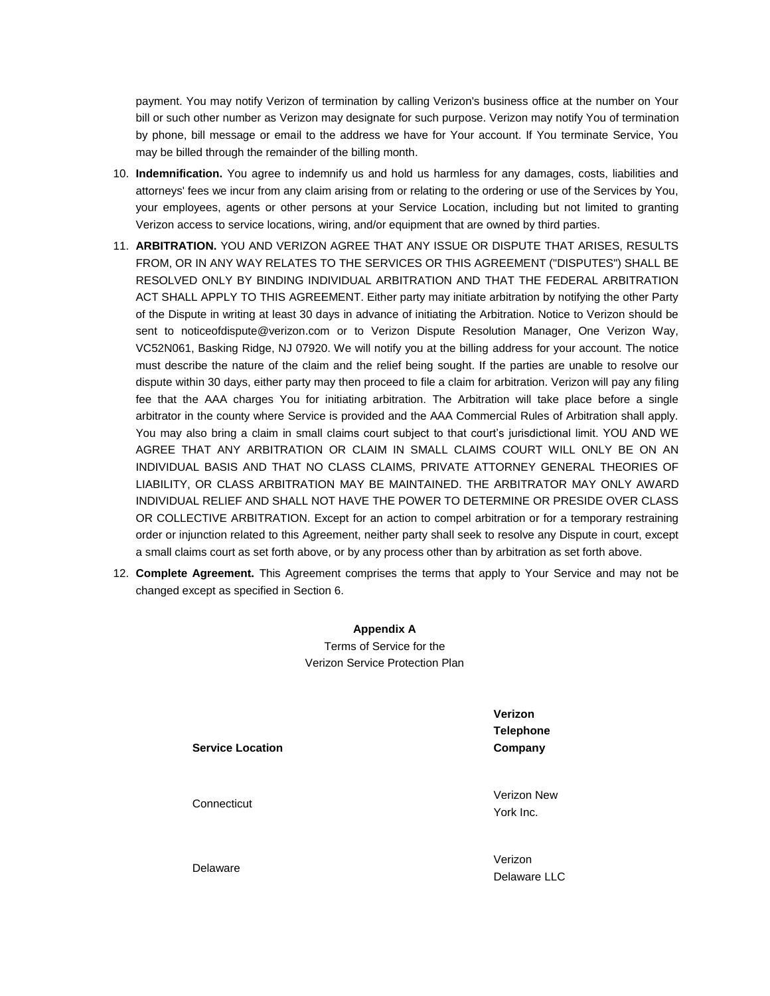payment. You may notify Verizon of termination by calling Verizon's business office at the number on Your bill or such other number as Verizon may designate for such purpose. Verizon may notify You of termination by phone, bill message or email to the address we have for Your account. If You terminate Service, You may be billed through the remainder of the billing month.

- 10. **Indemnification.** You agree to indemnify us and hold us harmless for any damages, costs, liabilities and attorneys' fees we incur from any claim arising from or relating to the ordering or use of the Services by You, your employees, agents or other persons at your Service Location, including but not limited to granting Verizon access to service locations, wiring, and/or equipment that are owned by third parties.
- 11. **ARBITRATION.** YOU AND VERIZON AGREE THAT ANY ISSUE OR DISPUTE THAT ARISES, RESULTS FROM, OR IN ANY WAY RELATES TO THE SERVICES OR THIS AGREEMENT ("DISPUTES") SHALL BE RESOLVED ONLY BY BINDING INDIVIDUAL ARBITRATION AND THAT THE FEDERAL ARBITRATION ACT SHALL APPLY TO THIS AGREEMENT. Either party may initiate arbitration by notifying the other Party of the Dispute in writing at least 30 days in advance of initiating the Arbitration. Notice to Verizon should be sent to noticeofdispute@verizon.com or to Verizon Dispute Resolution Manager, One Verizon Way, VC52N061, Basking Ridge, NJ 07920. We will notify you at the billing address for your account. The notice must describe the nature of the claim and the relief being sought. If the parties are unable to resolve our dispute within 30 days, either party may then proceed to file a claim for arbitration. Verizon will pay any filing fee that the AAA charges You for initiating arbitration. The Arbitration will take place before a single arbitrator in the county where Service is provided and the AAA Commercial Rules of Arbitration shall apply. You may also bring a claim in small claims court subject to that court's jurisdictional limit. YOU AND WE AGREE THAT ANY ARBITRATION OR CLAIM IN SMALL CLAIMS COURT WILL ONLY BE ON AN INDIVIDUAL BASIS AND THAT NO CLASS CLAIMS, PRIVATE ATTORNEY GENERAL THEORIES OF LIABILITY, OR CLASS ARBITRATION MAY BE MAINTAINED. THE ARBITRATOR MAY ONLY AWARD INDIVIDUAL RELIEF AND SHALL NOT HAVE THE POWER TO DETERMINE OR PRESIDE OVER CLASS OR COLLECTIVE ARBITRATION. Except for an action to compel arbitration or for a temporary restraining order or injunction related to this Agreement, neither party shall seek to resolve any Dispute in court, except a small claims court as set forth above, or by any process other than by arbitration as set forth above.
- 12. **Complete Agreement.** This Agreement comprises the terms that apply to Your Service and may not be changed except as specified in Section 6.

**Appendix A**

Terms of Service for the Verizon Service Protection Plan

**Service Location**

**Connecticut** 

**Telephone Company**

**Verizon** 

Verizon New York Inc.

Verizon Delaware LLC

Delaware